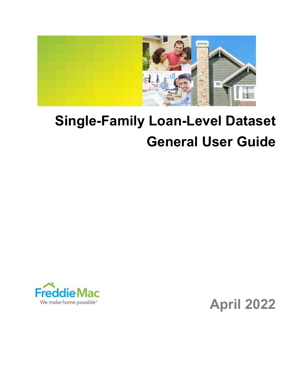

# Single-Family Loan-Level Dataset General User Guide



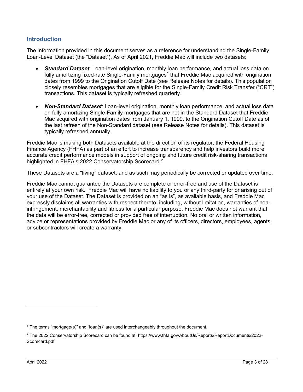# Introduction

The information provided in this document serves as a reference for understanding the Single-Family Loan-Level Dataset (the "Dataset"). As of April 2021, Freddie Mac will include two datasets:

- Standard Dataset: Loan-level origination, monthly loan performance, and actual loss data on fully amortizing fixed-rate Single-Family mortgages $^{\text{1}}$  that Freddie Mac acquired with origination dates from 1999 to the Origination Cutoff Date (see Release Notes for details). This population closely resembles mortgages that are eligible for the Single-Family Credit Risk Transfer ("CRT") transactions. This dataset is typically refreshed quarterly.
- Non-Standard Dataset: Loan-level origination, monthly loan performance, and actual loss data on fully amortizing Single-Family mortgages that are not in the Standard Dataset that Freddie Mac acquired with origination dates from January 1, 1999, to the Origination Cutoff Date as of the last refresh of the Non-Standard dataset (see Release Notes for details). This dataset is typically refreshed annually.

Freddie Mac is making both Datasets available at the direction of its regulator, the Federal Housing Finance Agency (FHFA) as part of an effort to increase transparency and help investors build more accurate credit performance models in support of ongoing and future credit risk-sharing transactions highlighted in FHFA's 2022 Conservatorship Scorecard.<sup>2</sup>

These Datasets are a "living" dataset, and as such may periodically be corrected or updated over time.

Freddie Mac cannot guarantee the Datasets are complete or error-free and use of the Dataset is entirely at your own risk. Freddie Mac will have no liability to you or any third-party for or arising out of your use of the Dataset. The Dataset is provided on an "as is", as available basis, and Freddie Mac expressly disclaims all warranties with respect thereto, including, without limitation, warranties of noninfringement, merchantability and fitness for a particular purpose. Freddie Mac does not warrant that the data will be error-free, corrected or provided free of interruption. No oral or written information, advice or representations provided by Freddie Mac or any of its officers, directors, employees, agents, or subcontractors will create a warranty.

<sup>1</sup> The terms "mortgage(s)" and "loan(s)" are used interchangeably throughout the document.

<sup>2</sup> The 2022 Conservatorship Scorecard can be found at: https://www.fhfa.gov/AboutUs/Reports/ReportDocuments/2022- Scorecard.pdf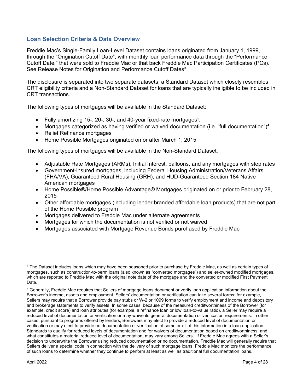# Loan Selection Criteria & Data Overview

Freddie Mac's Single-Family Loan-Level Dataset contains loans originated from January 1, 1999, through the "Origination Cutoff Date", with monthly loan performance data through the "Performance Cutoff Date," that were sold to Freddie Mac or that back Freddie Mac Participation Certificates (PCs). See Release Notes for Origination and Performance Cutoff Dates<sup>3</sup>.

The disclosure is separated into two separate datasets: a Standard Dataset which closely resembles CRT eligibility criteria and a Non-Standard Dataset for loans that are typically ineligible to be included in CRT transactions.

The following types of mortgages will be available in the Standard Dataset:

- Fully amortizing 15-, 20-, 30-, and 40-year fixed-rate mortgages<sup>1</sup>.
- Mortgages categorized as having verified or waived documentation (i.e. "full documentation")<sup>4</sup>.
- Relief Refinance mortgages
- Home Possible Mortgages originated on or after March 1, 2015

The following types of mortgages will be available in the Non-Standard Dataset:

- Adjustable Rate Mortgages (ARMs), Initial Interest, balloons, and any mortgages with step rates
- Government-insured mortgages, including Federal Housing Administration/Veterans Affairs (FHA/VA), Guaranteed Rural Housing (GRH), and HUD-Guaranteed Section 184 Native American mortgages
- Home Possible®/Home Possible Advantage® Mortgages originated on or prior to February 28, 2015
- Other affordable mortgages (including lender branded affordable loan products) that are not part of the Home Possible program
- Mortgages delivered to Freddie Mac under alternate agreements
- Mortgages for which the documentation is not verified or not waived
- Mortgages associated with Mortgage Revenue Bonds purchased by Freddie Mac

 $^3$  The Dataset includes loans which may have been seasoned prior to purchase by Freddie Mac, as well as certain types of mortgages, such as construction-to-perm loans (also known as "converted mortgages") and seller-owned modified mortgages, which are reported to Freddie Mac with the original note date of the mortgage and the converted or modified First Payment Date.

<sup>4</sup> Generally, Freddie Mac requires that Sellers of mortgage loans document or verify loan application information about the Borrower's income, assets and employment. Sellers' documentation or verification can take several forms; for example, Sellers may require that a Borrower provide pay stubs or W-2 or 1099 forms to verify employment and income and depository and brokerage statements to verify assets. In some cases, because of the measured creditworthiness of the Borrower (for example, credit score) and loan attributes (for example, a refinance loan or low loan-to-value ratio), a Seller may require a reduced level of documentation or verification or may waive its general documentation or verification requirements. In other cases, pursuant to programs offered by lenders, Borrowers may elect to provide a reduced level of documentation or verification or may elect to provide no documentation or verification of some or all of this information in a loan application. Standards to qualify for reduced levels of documentation and for waivers of documentation based on creditworthiness, and what constitutes a material reduced level of documentation, may vary among Sellers. If Freddie Mac agrees with a Seller's decision to underwrite the Borrower using reduced documentation or no documentation, Freddie Mac will generally require that Sellers deliver a special code in connection with the delivery of such mortgage loans. Freddie Mac monitors the performance of such loans to determine whether they continue to perform at least as well as traditional full documentation loans.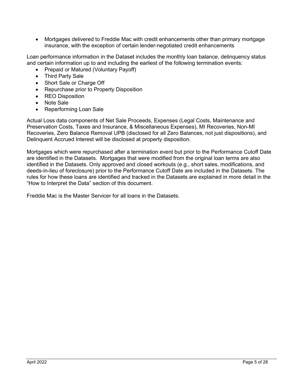Mortgages delivered to Freddie Mac with credit enhancements other than primary mortgage insurance, with the exception of certain lender-negotiated credit enhancements

Loan performance information in the Dataset includes the monthly loan balance, delinquency status and certain information up to and including the earliest of the following termination events:

- Prepaid or Matured (Voluntary Payoff)
- Third Party Sale
- Short Sale or Charge Off
- Repurchase prior to Property Disposition
- REO Disposition
- Note Sale
- Reperforming Loan Sale

Actual Loss data components of Net Sale Proceeds, Expenses (Legal Costs, Maintenance and Preservation Costs, Taxes and Insurance, & Miscellaneous Expenses), MI Recoveries, Non-MI Recoveries, Zero Balance Removal UPB (disclosed for all Zero Balances, not just dispositions), and Delinquent Accrued Interest will be disclosed at property disposition.

Mortgages which were repurchased after a termination event but prior to the Performance Cutoff Date are identified in the Datasets. Mortgages that were modified from the original loan terms are also identified in the Datasets. Only approved and closed workouts (e.g., short sales, modifications, and deeds-in-lieu of foreclosure) prior to the Performance Cutoff Date are included in the Datasets. The rules for how these loans are identified and tracked in the Datasets are explained in more detail in the "How to Interpret the Data" section of this document.

Freddie Mac is the Master Servicer for all loans in the Datasets.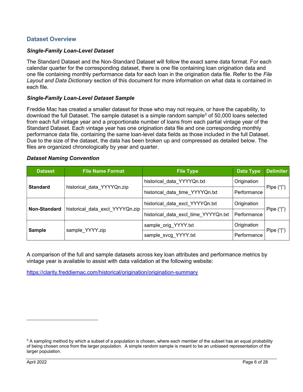# Dataset Overview

#### Single-Family Loan-Level Dataset

The Standard Dataset and the Non-Standard Dataset will follow the exact same data format. For each calendar quarter for the corresponding dataset, there is one file containing loan origination data and one file containing monthly performance data for each loan in the origination data file. Refer to the File Layout and Data Dictionary section of this document for more information on what data is contained in each file.

#### Single-Family Loan-Level Dataset Sample

Freddie Mac has created a smaller dataset for those who may not require, or have the capability, to download the full Dataset. The sample dataset is a simple random sample<sup>5</sup> of 50,000 loans selected from each full vintage year and a proportionate number of loans from each partial vintage year of the Standard Dataset. Each vintage year has one origination data file and one corresponding monthly performance data file, containing the same loan-level data fields as those included in the full Dataset. Due to the size of the dataset, the data has been broken up and compressed as detailed below. The files are organized chronologically by year and quarter.

#### Dataset Naming Convention

| <b>Dataset</b>      | <b>File Name Format</b>         | <b>File Type</b>                     | <b>Data Type</b> | <b>Delimiter</b> |
|---------------------|---------------------------------|--------------------------------------|------------------|------------------|
|                     |                                 | historical data YYYYQn.txt           | Origination      |                  |
| <b>Standard</b>     | historical data YYYYQn.zip      | historical data time YYYYQn.txt      | Performance      | Pipe $("")$      |
| <b>Non-Standard</b> |                                 | historical data excl YYYYQn.txt      | Origination      |                  |
|                     | historical data excl YYYYQn.zip | historical data excl time YYYYQn.txt | Performance      | Pipe $("")$      |
|                     |                                 | sample_orig_YYYY.txt                 | Origination      |                  |
| <b>Sample</b>       | sample YYYY.zip                 | sample svcg YYYY.txt                 | Performance      | Pipe $("")$      |

A comparison of the full and sample datasets across key loan attributes and performance metrics by vintage year is available to assist with data validation at the following website:

https://clarity.freddiemac.com/historical/origination/origination-summary

 $^5$  A sampling method by which a subset of a population is chosen, where each member of the subset has an equal probability of being chosen once from the larger population. A simple random sample is meant to be an unbiased representation of the larger population.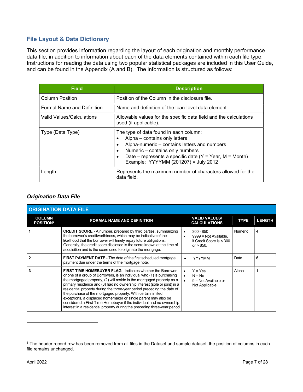# File Layout & Data Dictionary

This section provides information regarding the layout of each origination and monthly performance data file, in addition to information about each of the data elements contained within each file type. Instructions for reading the data using two popular statistical packages are included in this User Guide, and can be found in the Appendix (A and B). The information is structured as follows:

| <b>Field</b>               | <b>Description</b>                                                                                                                                                                                                                                              |
|----------------------------|-----------------------------------------------------------------------------------------------------------------------------------------------------------------------------------------------------------------------------------------------------------------|
| <b>Column Position</b>     | Position of the Column in the disclosure file.                                                                                                                                                                                                                  |
| Formal Name and Definition | Name and definition of the loan-level data element.                                                                                                                                                                                                             |
| Valid Values/Calculations  | Allowable values for the specific data field and the calculations<br>used (if applicable).                                                                                                                                                                      |
| Type (Data Type)           | The type of data found in each column:<br>Alpha – contains only letters<br>Alpha-numeric – contains letters and numbers<br>Numeric - contains only numbers<br>Date – represents a specific date $(Y = Year, M = Month)$<br>Example: YYYYMM (201207) = July 2012 |
| Length                     | Represents the maximum number of characters allowed for the<br>data field.                                                                                                                                                                                      |

# Origination Data File

| <b>ORIGINATION DATA FILE</b>                  |                                                                                                                                                                                                                                                                                                                                                                                                                                                                                                                                                                                                                                                                      |                                                                                                   |                |               |
|-----------------------------------------------|----------------------------------------------------------------------------------------------------------------------------------------------------------------------------------------------------------------------------------------------------------------------------------------------------------------------------------------------------------------------------------------------------------------------------------------------------------------------------------------------------------------------------------------------------------------------------------------------------------------------------------------------------------------------|---------------------------------------------------------------------------------------------------|----------------|---------------|
| <b>COLUMN</b><br><b>POSITION</b> <sup>6</sup> | <b>FORMAL NAME AND DEFINITION</b>                                                                                                                                                                                                                                                                                                                                                                                                                                                                                                                                                                                                                                    | <b>VALID VALUES/</b><br><b>CALCULATIONS</b>                                                       | <b>TYPE</b>    | <b>LENGTH</b> |
|                                               | <b>CREDIT SCORE</b> - A number, prepared by third parties, summarizing<br>the borrower's creditworthiness, which may be indicative of the<br>likelihood that the borrower will timely repay future obligations.<br>Generally, the credit score disclosed is the score known at the time of<br>acquisition and is the score used to originate the mortgage.                                                                                                                                                                                                                                                                                                           | $300 - 850$<br>$\bullet$<br>$9999 = Not Available.$<br>if Credit Score is $<$ 300<br>or $> 850$ . | <b>Numeric</b> | 4             |
|                                               | <b>FIRST PAYMENT DATE</b> - The date of the first scheduled mortgage<br>payment due under the terms of the mortgage note.                                                                                                                                                                                                                                                                                                                                                                                                                                                                                                                                            | <b>YYYYMM</b>                                                                                     | Date           | 6             |
| 3                                             | <b>FIRST TIME HOMEBUYER FLAG - Indicates whether the Borrower.</b><br>or one of a group of Borrowers, is an individual who (1) is purchasing<br>the mortgaged property, (2) will reside in the mortgaged property as a<br>primary residence and (3) had no ownership interest (sole or joint) in a<br>residential property during the three-year period preceding the date of<br>the purchase of the mortgaged property. With certain limited<br>exceptions, a displaced homemaker or single parent may also be<br>considered a First-Time Homebuyer if the individual had no ownership<br>interest in a residential property during the preceding three-year period | $Y = Yes$<br>$N = No$<br>$9 = Not Available or$<br>Not Applicable                                 | Alpha          |               |

 $^6$  The header record row has been removed from all files in the Dataset and sample dataset; the position of columns in each file remains unchanged.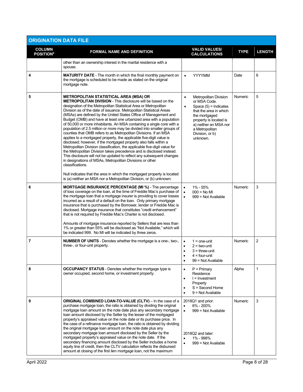| <b>ORIGINATION DATA FILE</b>                 |                                                                                                                                                                                                                                                                                                                                                                                                                                                                                                                                                                                                                                                                                                                                                                                                                                                                                                                                                                                                                                                                                                                                                                  |                                                                                                                                                                                                                                                  |                |                |
|----------------------------------------------|------------------------------------------------------------------------------------------------------------------------------------------------------------------------------------------------------------------------------------------------------------------------------------------------------------------------------------------------------------------------------------------------------------------------------------------------------------------------------------------------------------------------------------------------------------------------------------------------------------------------------------------------------------------------------------------------------------------------------------------------------------------------------------------------------------------------------------------------------------------------------------------------------------------------------------------------------------------------------------------------------------------------------------------------------------------------------------------------------------------------------------------------------------------|--------------------------------------------------------------------------------------------------------------------------------------------------------------------------------------------------------------------------------------------------|----------------|----------------|
| <b>COLUMN</b><br><b>POSITION<sup>6</sup></b> | <b>FORMAL NAME AND DEFINITION</b>                                                                                                                                                                                                                                                                                                                                                                                                                                                                                                                                                                                                                                                                                                                                                                                                                                                                                                                                                                                                                                                                                                                                | <b>VALID VALUES/</b><br><b>CALCULATIONS</b>                                                                                                                                                                                                      | <b>TYPE</b>    | <b>LENGTH</b>  |
|                                              | other than an ownership interest in the marital residence with a<br>spouse.                                                                                                                                                                                                                                                                                                                                                                                                                                                                                                                                                                                                                                                                                                                                                                                                                                                                                                                                                                                                                                                                                      |                                                                                                                                                                                                                                                  |                |                |
| 4                                            | <b>MATURITY DATE</b> - The month in which the final monthly payment on<br>the mortgage is scheduled to be made as stated on the original<br>mortgage note.                                                                                                                                                                                                                                                                                                                                                                                                                                                                                                                                                                                                                                                                                                                                                                                                                                                                                                                                                                                                       | <b>YYYYMM</b><br>$\bullet$                                                                                                                                                                                                                       | Date           | 6              |
| 5                                            | METROPOLITAN STATISTICAL AREA (MSA) OR<br><b>METROPOLITAN DIVISION - This disclosure will be based on the</b><br>designation of the Metropolitan Statistical Area or Metropolitan<br>Division as of the date of issuance. Metropolitan Statistical Areas<br>(MSAs) are defined by the United States Office of Management and<br>Budget (OMB) and have at least one urbanized area with a population<br>of 50,000 or more inhabitants. An MSA containing a single core with a<br>population of 2.5 million or more may be divided into smaller groups of<br>counties that OMB refers to as Metropolitan Divisions. If an MSA<br>applies to a mortgaged property, the applicable five-digit value is<br>disclosed; however, if the mortgaged property also falls within a<br>Metropolitan Division classification, the applicable five-digit value for<br>the Metropolitan Division takes precedence and is disclosed instead.<br>This disclosure will not be updated to reflect any subsequent changes<br>in designations of MSAs, Metropolitan Divisions or other<br>classifications.<br>Null indicates that the area in which the mortgaged property is located | <b>Metropolitan Division</b><br>$\bullet$<br>or MSA Code.<br>Space $(5)$ = Indicates<br>$\bullet$<br>that the area in which<br>the mortgaged<br>property is located is<br>a) neither an MSA nor<br>a Metropolitan<br>Division, or b)<br>unknown. | <b>Numeric</b> | 5              |
| 6                                            | is (a) neither an MSA nor a Metropolitan Division, or (b) unknown.<br><b>MORTGAGE INSURANCE PERCENTAGE (MI %)</b> - The percentage<br>of loss coverage on the loan, at the time of Freddie Mac's purchase of<br>the mortgage loan that a mortgage insurer is providing to cover losses<br>incurred as a result of a default on the loan. Only primary mortgage<br>insurance that is purchased by the Borrower, lender or Freddie Mac is<br>disclosed. Mortgage insurance that constitutes "credit enhancement"<br>that is not required by Freddie Mac's Charter is not disclosed.<br>Amounts of mortgage insurance reported by Sellers that are less than<br>1% or greater than 55% will be disclosed as "Not Available," which will<br>be indicated 999. No MI will be indicated by three zeros.                                                                                                                                                                                                                                                                                                                                                                | 1% - 55%<br>$\bullet$<br>$\bullet$<br>$000 = No$ MI<br>$\bullet$<br>$999 = Not Available$                                                                                                                                                        | <b>Numeric</b> | 3              |
| 7                                            | <b>NUMBER OF UNITS</b> - Denotes whether the mortgage is a one-, two-,<br>three-, or four-unit property.                                                                                                                                                                                                                                                                                                                                                                                                                                                                                                                                                                                                                                                                                                                                                                                                                                                                                                                                                                                                                                                         | $1 =$ one-unit<br>$\bullet$<br>$2 = two-unit$<br>$\bullet$<br>$3 =$ three-unit<br>$4 =$ four-unit<br>99 = Not Available<br>٠                                                                                                                     | <b>Numeric</b> | $\overline{2}$ |
| 8                                            | <b>OCCUPANCY STATUS</b> - Denotes whether the mortgage type is<br>owner occupied, second home, or investment property.                                                                                                                                                                                                                                                                                                                                                                                                                                                                                                                                                                                                                                                                                                                                                                                                                                                                                                                                                                                                                                           | $P = Primary$<br>$\bullet$<br>Residence<br>$l =$ Investment<br>$\bullet$<br>Property<br>S = Second Home<br>$\bullet$<br>$9 = Not Available$<br>$\bullet$                                                                                         | Alpha          | 1              |
| 9                                            | ORIGINAL COMBINED LOAN-TO-VALUE (CLTV) - In the case of a<br>purchase mortgage loan, the ratio is obtained by dividing the original<br>mortgage loan amount on the note date plus any secondary mortgage<br>loan amount disclosed by the Seller by the lesser of the mortgaged<br>property's appraised value on the note date or its purchase price. In<br>the case of a refinance mortgage loan, the ratio is obtained by dividing<br>the original mortgage loan amount on the note date plus any<br>secondary mortgage loan amount disclosed by the Seller by the<br>mortgaged property's appraised value on the note date. If the<br>secondary financing amount disclosed by the Seller includes a home<br>equity line of credit, then the CLTV calculation reflects the disbursed<br>amount at closing of the first lien mortgage loan, not the maximum                                                                                                                                                                                                                                                                                                      | 2018Q1 and prior:<br>6% - 200%<br>$\bullet$<br>$\bullet$<br>999 = Not Available<br>2018Q2 and later:<br>1% - 998%<br>$\bullet$<br>999 = Not Available<br>$\bullet$                                                                               | <b>Numeric</b> | 3              |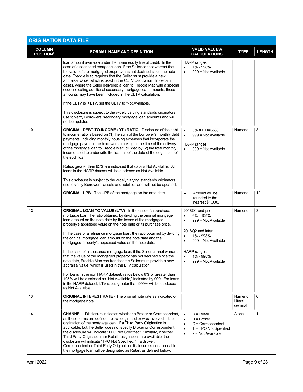| <b>ORIGINATION DATA FILE</b>                 |                                                                                                                                                                                                                                                                                                                                                                                                                                                                                                                                                                                                                                                                                                       |                                                                                                                                                                                                         |                               |               |
|----------------------------------------------|-------------------------------------------------------------------------------------------------------------------------------------------------------------------------------------------------------------------------------------------------------------------------------------------------------------------------------------------------------------------------------------------------------------------------------------------------------------------------------------------------------------------------------------------------------------------------------------------------------------------------------------------------------------------------------------------------------|---------------------------------------------------------------------------------------------------------------------------------------------------------------------------------------------------------|-------------------------------|---------------|
| <b>COLUMN</b><br><b>POSITION<sup>6</sup></b> | <b>FORMAL NAME AND DEFINITION</b>                                                                                                                                                                                                                                                                                                                                                                                                                                                                                                                                                                                                                                                                     | <b>VALID VALUES/</b><br><b>CALCULATIONS</b>                                                                                                                                                             | <b>TYPE</b>                   | <b>LENGTH</b> |
|                                              | loan amount available under the home equity line of credit. In the<br>case of a seasoned mortgage loan, if the Seller cannot warrant that<br>the value of the mortgaged property has not declined since the note<br>date, Freddie Mac requires that the Seller must provide a new<br>appraisal value, which is used in the CLTV calculation. In certain<br>cases, where the Seller delivered a loan to Freddie Mac with a special<br>code indicating additional secondary mortgage loan amounts, those<br>amounts may have been included in the CLTV calculation.<br>If the CLTV is < LTV, set the CLTV to 'Not Available.'<br>This disclosure is subject to the widely varying standards originators | HARP ranges:<br>1% - 998%<br>$\bullet$<br>999 = Not Available                                                                                                                                           |                               |               |
|                                              | use to verify Borrowers' secondary mortgage loan amounts and will<br>not be updated.                                                                                                                                                                                                                                                                                                                                                                                                                                                                                                                                                                                                                  |                                                                                                                                                                                                         |                               |               |
| 10                                           | <b>ORIGINAL DEBT-TO-INCOME (DTI) RATIO - Disclosure of the debt</b><br>to income ratio is based on (1) the sum of the borrower's monthly debt<br>payments, including monthly housing expenses that incorporate the<br>mortgage payment the borrower is making at the time of the delivery<br>of the mortgage loan to Freddie Mac, divided by (2) the total monthly<br>income used to underwrite the loan as of the date of the origination of<br>the such loan.                                                                                                                                                                                                                                       | 0% <dti<=65%<br><math display="inline">\bullet</math><br/><math display="inline">\bullet</math><br/>999 = Not Available<br/>HARP ranges:<br/><math>\bullet</math><br/>999 = Not Available</dti<=65%<br> | <b>Numeric</b>                | 3             |
|                                              | Ratios greater than 65% are indicated that data is Not Available. All<br>loans in the HARP dataset will be disclosed as Not Available.                                                                                                                                                                                                                                                                                                                                                                                                                                                                                                                                                                |                                                                                                                                                                                                         |                               |               |
|                                              | This disclosure is subject to the widely varying standards originators<br>use to verify Borrowers' assets and liabilities and will not be updated.                                                                                                                                                                                                                                                                                                                                                                                                                                                                                                                                                    |                                                                                                                                                                                                         |                               |               |
| 11                                           | <b>ORIGINAL UPB</b> - The UPB of the mortgage on the note date.                                                                                                                                                                                                                                                                                                                                                                                                                                                                                                                                                                                                                                       | Amount will be<br>$\bullet$<br>rounded to the<br>nearest \$1,000.                                                                                                                                       | Numeric                       | 12            |
| 12                                           | <b>ORIGINAL LOAN-TO-VALUE (LTV) - In the case of a purchase</b><br>mortgage loan, the ratio obtained by dividing the original mortgage<br>loan amount on the note date by the lesser of the mortgaged<br>property's appraised value on the note date or its purchase price.                                                                                                                                                                                                                                                                                                                                                                                                                           | 2018Q1 and prior:<br>6% - 105%<br>$\bullet$<br>999 = Not Available<br>$\bullet$                                                                                                                         | <b>Numeric</b>                | 3             |
|                                              | In the case of a refinance mortgage loan, the ratio obtained by dividing<br>the original mortgage loan amount on the note date and the<br>mortgaged property's appraised value on the note date.                                                                                                                                                                                                                                                                                                                                                                                                                                                                                                      | 2018Q2 and later:<br>1% - 998%<br>$\bullet$<br>$999 = Not Available$<br>$\bullet$                                                                                                                       |                               |               |
|                                              | In the case of a seasoned mortgage loan, if the Seller cannot warrant<br>that the value of the mortgaged property has not declined since the<br>note date, Freddie Mac requires that the Seller must provide a new<br>appraisal value, which is used in the LTV calculation.                                                                                                                                                                                                                                                                                                                                                                                                                          | HARP ranges:<br>1% - 998%<br>$\bullet$<br>999 = Not Available                                                                                                                                           |                               |               |
|                                              | For loans in the non HARP dataset, ratios below 6% or greater than<br>105% will be disclosed as "Not Available," indicated by 999. For loans<br>in the HARP dataset, LTV ratios greater than 999% will be disclosed<br>as Not Available.                                                                                                                                                                                                                                                                                                                                                                                                                                                              |                                                                                                                                                                                                         |                               |               |
| 13                                           | <b>ORIGINAL INTEREST RATE - The original note rate as indicated on</b><br>the mortgage note.                                                                                                                                                                                                                                                                                                                                                                                                                                                                                                                                                                                                          |                                                                                                                                                                                                         | Numeric<br>Literal<br>decimal | 6             |
| 14                                           | <b>CHANNEL</b> - Disclosure indicates whether a Broker or Correspondent,<br>as those terms are defined below, originated or was involved in the<br>origination of the mortgage loan. If a Third Party Origination is<br>applicable, but the Seller does not specify Broker or Correspondent,<br>the disclosure will indicate "TPO Not Specified". Similarly, if neither<br>Third Party Origination nor Retail designations are available, the<br>disclosure will indicate "TPO Not Specified." If a Broker,<br>Correspondent or Third Party Origination disclosure is not applicable,<br>the mortgage loan will be designated as Retail, as defined below.                                            | $R = Retail$<br>$\bullet$<br>$B = B$ roker<br>$\bullet$<br>$C =$ Correspondent<br>$\bullet$<br>T = TPO Not Specified<br>$\bullet$<br>$9 = Not Available$<br>$\bullet$                                   | Alpha                         | $\mathbf{1}$  |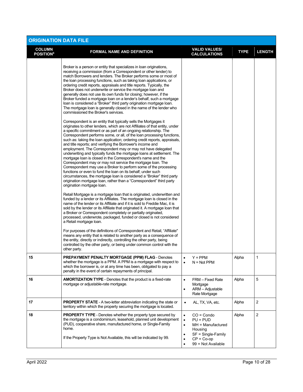| <b>ORIGINATION DATA FILE</b>                 |                                                                                                                                                                                                                                                                                                                                                                                                                                                                                                                                                                                                                                                                                                                                                                                                                                                                                                                                                                                                                                     |                                                                                                                                                                                   |             |                |
|----------------------------------------------|-------------------------------------------------------------------------------------------------------------------------------------------------------------------------------------------------------------------------------------------------------------------------------------------------------------------------------------------------------------------------------------------------------------------------------------------------------------------------------------------------------------------------------------------------------------------------------------------------------------------------------------------------------------------------------------------------------------------------------------------------------------------------------------------------------------------------------------------------------------------------------------------------------------------------------------------------------------------------------------------------------------------------------------|-----------------------------------------------------------------------------------------------------------------------------------------------------------------------------------|-------------|----------------|
| <b>COLUMN</b><br><b>POSITION<sup>6</sup></b> | <b>FORMAL NAME AND DEFINITION</b>                                                                                                                                                                                                                                                                                                                                                                                                                                                                                                                                                                                                                                                                                                                                                                                                                                                                                                                                                                                                   | <b>VALID VALUES/</b><br><b>CALCULATIONS</b>                                                                                                                                       | <b>TYPE</b> | <b>LENGTH</b>  |
|                                              | Broker is a person or entity that specializes in loan originations,<br>receiving a commission (from a Correspondent or other lender) to<br>match Borrowers and lenders. The Broker performs some or most of<br>the loan processing functions, such as taking loan applications, or<br>ordering credit reports, appraisals and title reports. Typically, the<br>Broker does not underwrite or service the mortgage loan and<br>generally does not use its own funds for closing; however, if the<br>Broker funded a mortgage loan on a lender's behalf, such a mortgage<br>loan is considered a "Broker" third party origination mortgage loan.<br>The mortgage loan is generally closed in the name of the lender who<br>commissioned the Broker's services.                                                                                                                                                                                                                                                                        |                                                                                                                                                                                   |             |                |
|                                              | Correspondent is an entity that typically sells the Mortgages it<br>originates to other lenders, which are not Affiliates of that entity, under<br>a specific commitment or as part of an ongoing relationship. The<br>Correspondent performs some, or all, of the loan processing functions,<br>such as: taking the loan application; ordering credit reports, appraisals,<br>and title reports; and verifying the Borrower's income and<br>employment. The Correspondent may or may not have delegated<br>underwriting and typically funds the mortgage loans at settlement. The<br>mortgage loan is closed in the Correspondent's name and the<br>Correspondent may or may not service the mortgage loan. The<br>Correspondent may use a Broker to perform some of the processing<br>functions or even to fund the loan on its behalf; under such<br>circumstances, the mortgage loan is considered a "Broker" third party<br>origination mortgage loan, rather than a "Correspondent" third party<br>origination mortgage loan. |                                                                                                                                                                                   |             |                |
|                                              | Retail Mortgage is a mortgage loan that is originated, underwritten and<br>funded by a lender or its Affiliates. The mortgage loan is closed in the<br>name of the lender or its Affiliate and if it is sold to Freddie Mac, it is<br>sold by the lender or its Affiliate that originated it. A mortgage loan that<br>a Broker or Correspondent completely or partially originated,<br>processed, underwrote, packaged, funded or closed is not considered<br>a Retail mortgage loan.<br>For purposes of the definitions of Correspondent and Retail, "Affiliate"                                                                                                                                                                                                                                                                                                                                                                                                                                                                   |                                                                                                                                                                                   |             |                |
|                                              | means any entity that is related to another party as a consequence of<br>the entity, directly or indirectly, controlling the other party, being<br>controlled by the other party, or being under common control with the<br>other party.                                                                                                                                                                                                                                                                                                                                                                                                                                                                                                                                                                                                                                                                                                                                                                                            |                                                                                                                                                                                   |             |                |
| 15                                           | <b>PREPAYMENT PENALTY MORTGAGE (PPM) FLAG - Denotes</b><br>whether the mortgage is a PPM. A PPM is a mortgage with respect to<br>which the borrower is, or at any time has been, obligated to pay a<br>penalty in the event of certain repayments of principal.                                                                                                                                                                                                                                                                                                                                                                                                                                                                                                                                                                                                                                                                                                                                                                     | $Y = PPM$<br>$\bullet$<br>$N = Not PPM$<br>$\bullet$                                                                                                                              | Alpha       | 1              |
| 16                                           | <b>AMORTIZATION TYPE - Denotes that the product is a fixed-rate</b><br>mortgage or adjustable-rate mortgage.                                                                                                                                                                                                                                                                                                                                                                                                                                                                                                                                                                                                                                                                                                                                                                                                                                                                                                                        | FRM - Fixed Rate<br>$\bullet$<br>Mortgage<br>ARM - Adjustable<br>٠<br>Rate Mortgage                                                                                               | Alpha       | 5              |
| 17                                           | <b>PROPERTY STATE</b> - A two-letter abbreviation indicating the state or<br>territory within which the property securing the mortgage is located.                                                                                                                                                                                                                                                                                                                                                                                                                                                                                                                                                                                                                                                                                                                                                                                                                                                                                  | AL, TX, VA, etc.<br>$\bullet$                                                                                                                                                     | Alpha       | 2              |
| 18                                           | <b>PROPERTY TYPE</b> - Denotes whether the property type secured by<br>the mortgage is a condominium, leasehold, planned unit development<br>(PUD), cooperative share, manufactured home, or Single-Family<br>home.<br>If the Property Type is Not Available, this will be indicated by 99.                                                                                                                                                                                                                                                                                                                                                                                                                                                                                                                                                                                                                                                                                                                                         | $CO = Condo$<br>$\bullet$<br>$PU = PUD$<br>$\bullet$<br>$MH =$ Manufactured<br>$\bullet$<br>Housing<br>SF = Single-Family<br>$\bullet$<br>$CP = Co-op$<br>٠<br>99 = Not Available | Alpha       | $\overline{c}$ |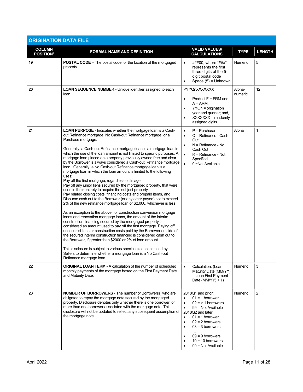| <b>ORIGINATION DATA FILE</b>                  |                                                                                                                                                                                                                                                                                                                                                                                                                                                                                                                                                                                                                                                                                                                                                                                                                                                                                                                                                                                                                                                                                                                                                                                                                                                                                                                                                                                                                                                                                                                                                                                                                                                                                   |                                                                                                                                                                                                                                                                                                                                                    |                   |                |
|-----------------------------------------------|-----------------------------------------------------------------------------------------------------------------------------------------------------------------------------------------------------------------------------------------------------------------------------------------------------------------------------------------------------------------------------------------------------------------------------------------------------------------------------------------------------------------------------------------------------------------------------------------------------------------------------------------------------------------------------------------------------------------------------------------------------------------------------------------------------------------------------------------------------------------------------------------------------------------------------------------------------------------------------------------------------------------------------------------------------------------------------------------------------------------------------------------------------------------------------------------------------------------------------------------------------------------------------------------------------------------------------------------------------------------------------------------------------------------------------------------------------------------------------------------------------------------------------------------------------------------------------------------------------------------------------------------------------------------------------------|----------------------------------------------------------------------------------------------------------------------------------------------------------------------------------------------------------------------------------------------------------------------------------------------------------------------------------------------------|-------------------|----------------|
| <b>COLUMN</b><br><b>POSITION</b> <sup>6</sup> | <b>FORMAL NAME AND DEFINITION</b>                                                                                                                                                                                                                                                                                                                                                                                                                                                                                                                                                                                                                                                                                                                                                                                                                                                                                                                                                                                                                                                                                                                                                                                                                                                                                                                                                                                                                                                                                                                                                                                                                                                 | <b>VALID VALUES/</b><br><b>CALCULATIONS</b>                                                                                                                                                                                                                                                                                                        | <b>TYPE</b>       | <b>LENGTH</b>  |
| 19                                            | <b>POSTAL CODE</b> – The postal code for the location of the mortgaged<br>property                                                                                                                                                                                                                                                                                                                                                                                                                                                                                                                                                                                                                                                                                                                                                                                                                                                                                                                                                                                                                                                                                                                                                                                                                                                                                                                                                                                                                                                                                                                                                                                                | ###00, where "###"<br>$\bullet$<br>represents the first<br>three digits of the 5-<br>digit postal code<br>Space $(5)$ = Unknown<br>$\bullet$                                                                                                                                                                                                       | <b>Numeric</b>    | 5              |
| 20                                            | <b>LOAN SEQUENCE NUMBER - Unique identifier assigned to each</b><br>loan.                                                                                                                                                                                                                                                                                                                                                                                                                                                                                                                                                                                                                                                                                                                                                                                                                                                                                                                                                                                                                                                                                                                                                                                                                                                                                                                                                                                                                                                                                                                                                                                                         | PYYQnXXXXXXX<br>$Product F = FRM$ and<br>$\bullet$<br>$A = ARM$ ;<br>$YYQn = origination$<br>$\bullet$<br>year and quarter; and,<br>$XXXXXX = randomly$<br>٠<br>assigned digits                                                                                                                                                                    | Alpha-<br>numeric | 12             |
| 21                                            | <b>LOAN PURPOSE</b> - Indicates whether the mortgage loan is a Cash-<br>out Refinance mortgage, No Cash-out Refinance mortgage, or a<br>Purchase mortgage.<br>Generally, a Cash-out Refinance mortgage loan is a mortgage loan in<br>which the use of the loan amount is not limited to specific purposes. A<br>mortgage loan placed on a property previously owned free and clear<br>by the Borrower is always considered a Cash-out Refinance mortgage<br>loan. Generally, a No Cash-out Refinance mortgage loan is a<br>mortgage loan in which the loan amount is limited to the following<br>uses:<br>Pay off the first mortgage, regardless of its age<br>Pay off any junior liens secured by the mortgaged property, that were<br>used in their entirety to acquire the subject property<br>Pay related closing costs, financing costs and prepaid items, and<br>Disburse cash out to the Borrower (or any other payee) not to exceed<br>2% of the new refinance mortgage loan or \$2,000, whichever is less.<br>As an exception to the above, for construction conversion mortgage<br>loans and renovation mortgage loans, the amount of the interim<br>construction financing secured by the mortgaged property is<br>considered an amount used to pay off the first mortgage. Paying off<br>unsecured liens or construction costs paid by the Borrower outside of<br>the secured interim construction financing is considered cash out to<br>the Borrower, if greater than \$2000 or 2% of loan amount.<br>This disclosure is subject to various special exceptions used by<br>Sellers to determine whether a mortgage loan is a No Cash-out<br>Refinance mortgage loan. | $P = Purchase$<br>$\bullet$<br>C = Refinance - Cash<br>$\bullet$<br>Out<br>$N =$ Refinance - No<br>$\bullet$<br>Cash Out<br>R = Refinance - Not<br>$\bullet$<br>Specified<br>$\bullet$<br>9 = Not Available                                                                                                                                        | Alpha             | 1              |
| 22                                            | <b>ORIGINAL LOAN TERM - A calculation of the number of scheduled</b><br>monthly payments of the mortgage based on the First Payment Date<br>and Maturity Date.                                                                                                                                                                                                                                                                                                                                                                                                                                                                                                                                                                                                                                                                                                                                                                                                                                                                                                                                                                                                                                                                                                                                                                                                                                                                                                                                                                                                                                                                                                                    | Calculation: (Loan<br>$\bullet$<br>Maturity Date (MM/YY)<br>- Loan First Payment<br>Date ( $MMYY$ ) + 1)                                                                                                                                                                                                                                           | Numeric           | 3              |
| 23                                            | <b>NUMBER OF BORROWERS - The number of Borrower(s) who are</b><br>obligated to repay the mortgage note secured by the mortgaged<br>property. Disclosure denotes only whether there is one borrower, or<br>more than one borrower associated with the mortgage note. This<br>disclosure will not be updated to reflect any subsequent assumption of<br>the mortgage note.                                                                                                                                                                                                                                                                                                                                                                                                                                                                                                                                                                                                                                                                                                                                                                                                                                                                                                                                                                                                                                                                                                                                                                                                                                                                                                          | 2018Q1 and prior:<br>$01 = 1$ borrower<br>$02 = 1$ borrowers<br>$\bullet$<br>99 = Not Available<br>$\bullet$<br>2018Q2 and later:<br>$01 = 1$ borrower<br>$\bullet$<br>$02 = 2$ borrowers<br>$\bullet$<br>$03 = 3$ borrowers<br>$\bullet$<br>$\cdots$<br>$09 = 9$ borrowers<br>$\bullet$<br>$10 = 10$ borrowers<br>$\bullet$<br>99 = Not Available | Numeric           | $\overline{c}$ |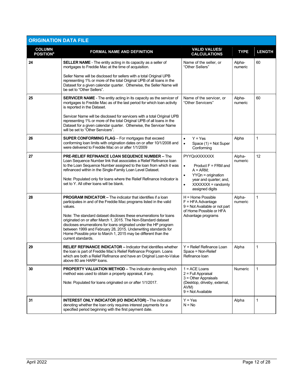| <b>ORIGINATION DATA FILE</b>                  |                                                                                                                                                                                                                                                                                                                                                                                                                                                                                                                           |                                                                                                                                                                                       |                   |               |
|-----------------------------------------------|---------------------------------------------------------------------------------------------------------------------------------------------------------------------------------------------------------------------------------------------------------------------------------------------------------------------------------------------------------------------------------------------------------------------------------------------------------------------------------------------------------------------------|---------------------------------------------------------------------------------------------------------------------------------------------------------------------------------------|-------------------|---------------|
| <b>COLUMN</b><br><b>POSITION</b> <sup>6</sup> | <b>FORMAL NAME AND DEFINITION</b>                                                                                                                                                                                                                                                                                                                                                                                                                                                                                         | <b>VALID VALUES/</b><br><b>CALCULATIONS</b>                                                                                                                                           | <b>TYPE</b>       | <b>LENGTH</b> |
| 24                                            | <b>SELLER NAME</b> - The entity acting in its capacity as a seller of<br>mortgages to Freddie Mac at the time of acquisition.                                                                                                                                                                                                                                                                                                                                                                                             | Name of the seller, or<br>"Other Sellers"                                                                                                                                             | Alpha-<br>numeric | 60            |
|                                               | Seller Name will be disclosed for sellers with a total Original UPB<br>representing 1% or more of the total Original UPB of all loans in the<br>Dataset for a given calendar quarter. Otherwise, the Seller Name will<br>be set to "Other Sellers".                                                                                                                                                                                                                                                                       |                                                                                                                                                                                       |                   |               |
| 25                                            | <b>SERVICER NAME</b> - The entity acting in its capacity as the servicer of<br>mortgages to Freddie Mac as of the last period for which loan activity<br>is reported in the Dataset.                                                                                                                                                                                                                                                                                                                                      | Name of the servicer, or<br>"Other Servicers"                                                                                                                                         | Alpha-<br>numeric | 60            |
|                                               | Servicer Name will be disclosed for servicers with a total Original UPB<br>representing 1% or more of the total Original UPB of all loans in the<br>Dataset for a given calendar quarter. Otherwise, the Servicer Name<br>will be set to "Other Servicers".                                                                                                                                                                                                                                                               |                                                                                                                                                                                       |                   |               |
| 26                                            | <b>SUPER CONFORMING FLAG</b> - For mortgages that exceed<br>conforming loan limits with origination dates on or after 10/1/2008 and<br>were delivered to Freddie Mac on or after 1/1/2009                                                                                                                                                                                                                                                                                                                                 | $Y = Yes$<br>$\bullet$<br>$\bullet$<br>Space $(1)$ = Not Super<br>Conforming                                                                                                          | Alpha             | 1             |
| 27                                            | <b>PRE-RELIEF REFINANCE LOAN SEQUENCE NUMBER - The</b><br>Loan Sequence Number link that associates a Relief Refinance loan<br>to the Loan Sequence Number assigned to the loan from which it was<br>refinanced within in the Single-Family Loan Level Dataset.<br>Note: Populated only for loans where the Relief Refinance Indicator is<br>set to Y. All other loans will be blank.                                                                                                                                     | PYYQnXXXXXXX<br>Product $F = FRM$ and<br>$\bullet$<br>$A = ARM$ ;<br>$YYQn =$ origination<br>$\bullet$<br>year and quarter; and,<br>XXXXXX = randomly<br>$\bullet$<br>assigned digits | Alpha-<br>numeric | 12            |
| 28                                            | <b>PROGRAM INDICATOR – The indicator that identifies if a loan</b><br>participates in and of the Freddie Mac programs listed in the valid<br>values.<br>Note: The standard dataset discloses these enumerations for loans<br>originated on or after March 1, 2015. The Non-Standard dataset<br>discloses enumerations for loans originated under the HP program<br>between 1999 and February 28, 2015. Underwriting standards for<br>Home Possible prior to March 1, 2015 may be different than the<br>current standards. | H = Home Possible<br>$F = HFA$ Advantage<br>9 = Not Available or not part<br>of Home Possible or HFA<br>Advantage programs                                                            | Alpha-<br>numeric | 1             |
| 29                                            | <b>RELIEF REFINANCE INDICATOR – Indicator that identifies whether</b><br>the loan is part of Freddie Mac's Relief Refinance Program. Loans<br>which are both a Relief Refinance and have an Original Loan-to-Value<br>above 80 are HARP loans.                                                                                                                                                                                                                                                                            | Y = Relief Refinance Loan<br>Space = Non-Relief<br>Refinance loan                                                                                                                     | Alpha             | 1             |
| 30                                            | <b>PROPERTY VALUATION METHOD - The indicator denoting which</b><br>method was used to obtain a property appraisal, if any.<br>Note: Populated for loans originated on or after 1/1/2017.                                                                                                                                                                                                                                                                                                                                  | $1 = ACE$ Loans<br>$2$ = Full Appraisal<br>$3 =$ Other Appraisals<br>(Desktop, driveby, external,<br>AVM)<br>9 = Not Available                                                        | Numeric           | 1             |
| 31                                            | <b>INTEREST ONLY INDICATOR (I/O INDICATOR) - The indicator</b><br>denoting whether the loan only requires interest payments for a<br>specified period beginning with the first payment date.                                                                                                                                                                                                                                                                                                                              | $Y = Yes$<br>$N = No$                                                                                                                                                                 | Alpha             | 1             |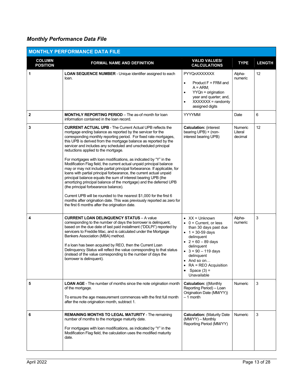# Monthly Performance Data File

|                                  | <b>MONTHLY PERFORMANCE DATA FILE</b>                                                                                                                                                                                                                                                                                                                                                                                                                                                                                                                                                                                                                                                                                                                                                                                                                                                                                                                                                                                                                              |                                                                                                                                                                                                                                                                                               |                               |               |
|----------------------------------|-------------------------------------------------------------------------------------------------------------------------------------------------------------------------------------------------------------------------------------------------------------------------------------------------------------------------------------------------------------------------------------------------------------------------------------------------------------------------------------------------------------------------------------------------------------------------------------------------------------------------------------------------------------------------------------------------------------------------------------------------------------------------------------------------------------------------------------------------------------------------------------------------------------------------------------------------------------------------------------------------------------------------------------------------------------------|-----------------------------------------------------------------------------------------------------------------------------------------------------------------------------------------------------------------------------------------------------------------------------------------------|-------------------------------|---------------|
| <b>COLUMN</b><br><b>POSITION</b> | <b>FORMAL NAME AND DEFINITION</b>                                                                                                                                                                                                                                                                                                                                                                                                                                                                                                                                                                                                                                                                                                                                                                                                                                                                                                                                                                                                                                 | <b>VALID VALUES/</b><br><b>CALCULATIONS</b>                                                                                                                                                                                                                                                   | <b>TYPE</b>                   | <b>LENGTH</b> |
| 1                                | LOAN SEQUENCE NUMBER - Unique identifier assigned to each<br>loan.                                                                                                                                                                                                                                                                                                                                                                                                                                                                                                                                                                                                                                                                                                                                                                                                                                                                                                                                                                                                | PYYQnXXXXXXX<br>$Product F = FRM$ and<br>$\bullet$<br>$A = ARM$ ;<br>$YYQn = origination$<br>٠<br>year and quarter; and,<br>$XXXXXX = random$<br>$\bullet$<br>assigned digits                                                                                                                 | Alpha-<br>numeric             | 12            |
| $\mathbf 2$                      | <b>MONTHLY REPORTING PERIOD</b> – The as-of month for loan<br>information contained in the loan record.                                                                                                                                                                                                                                                                                                                                                                                                                                                                                                                                                                                                                                                                                                                                                                                                                                                                                                                                                           | <b>YYYYMM</b>                                                                                                                                                                                                                                                                                 | Date                          | 6             |
| 3                                | <b>CURRENT ACTUAL UPB - The Current Actual UPB reflects the</b><br>mortgage ending balance as reported by the servicer for the<br>corresponding monthly reporting period. For fixed rate mortgages,<br>this UPB is derived from the mortgage balance as reported by the<br>servicer and includes any scheduled and unscheduled principal<br>reductions applied to the mortgage.<br>For mortgages with loan modifications, as indicated by "Y" in the<br>Modification Flag field, the current actual unpaid principal balance<br>may or may not include partial principal forbearance. If applicable, for<br>loans with partial principal forbearance, the current actual unpaid<br>principal balance equals the sum of interest bearing UPB (the<br>amortizing principal balance of the mortgage) and the deferred UPB<br>(the principal forbearance balance).<br>Current UPB will be rounded to the nearest \$1,000 for the first 6<br>months after origination date. This was previously reported as zero for<br>the first 6 months after the origination date. | <b>Calculation: (interest)</b><br>bearing UPB) + (non-<br>interest bearing UPB)                                                                                                                                                                                                               | Numeric<br>Literal<br>decimal | 12            |
| 4                                | <b>CURRENT LOAN DELINQUENCY STATUS - A value</b><br>corresponding to the number of days the borrower is delinquent,<br>based on the due date of last paid installment ("DDLPI") reported by<br>servicers to Freddie Mac, and is calculated under the Mortgage<br>Bankers Association (MBA) method.<br>If a loan has been acquired by REO, then the Current Loan<br>Delinquency Status will reflect the value corresponding to that status<br>(instead of the value corresponding to the number of days the<br>borrower is delinquent).                                                                                                                                                                                                                                                                                                                                                                                                                                                                                                                            | $\bullet$ XX = Unknown<br>$\bullet$ 0 = Current, or less<br>than 30 days past due<br>• $1 = 30 - 59$ days<br>delinquent<br>• $2 = 60 - 89$ days<br>delinquent<br>$\bullet$ 3 = 90 - 119 days<br>delinquent<br>$\bullet$ And so on<br>• $RA = REO$ Acquisition<br>Space $(3)$ =<br>Unavailable | Alpha-<br>numeric             | 3             |
| 5                                | <b>LOAN AGE</b> - The number of months since the note origination month<br>of the mortgage.<br>To ensure the age measurement commences with the first full month<br>after the note origination month, subtract 1.                                                                                                                                                                                                                                                                                                                                                                                                                                                                                                                                                                                                                                                                                                                                                                                                                                                 | <b>Calculation: ((Monthly</b><br>Reporting Period) - Loan<br>Origination Date (MM/YY))<br>$-1$ month                                                                                                                                                                                          | <b>Numeric</b>                | 3             |
| 6                                | <b>REMAINING MONTHS TO LEGAL MATURITY - The remaining</b><br>number of months to the mortgage maturity date.<br>For mortgages with loan modifications, as indicated by "Y" in the<br>Modification Flag field, the calculation uses the modified maturity<br>date.                                                                                                                                                                                                                                                                                                                                                                                                                                                                                                                                                                                                                                                                                                                                                                                                 | <b>Calculation: (Maturity Date)</b><br>(MM/YY) - Monthly<br>Reporting Period (MM/YY)                                                                                                                                                                                                          | Numeric                       | 3             |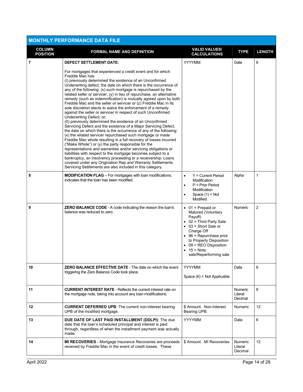| <b>MONTHLY PERFORMANCE DATA FILE</b> |                                                                                                                                                                                                                                                                                                                                                                                                                                                                                                                                                                                                                                                                                                                                                                                                                                                                                                                                                                                                                                                                                                                                                                                                                                                                                                                                                                                                                                   |                                                                                                                                                                                                                                                                                              |                                      |                 |  |
|--------------------------------------|-----------------------------------------------------------------------------------------------------------------------------------------------------------------------------------------------------------------------------------------------------------------------------------------------------------------------------------------------------------------------------------------------------------------------------------------------------------------------------------------------------------------------------------------------------------------------------------------------------------------------------------------------------------------------------------------------------------------------------------------------------------------------------------------------------------------------------------------------------------------------------------------------------------------------------------------------------------------------------------------------------------------------------------------------------------------------------------------------------------------------------------------------------------------------------------------------------------------------------------------------------------------------------------------------------------------------------------------------------------------------------------------------------------------------------------|----------------------------------------------------------------------------------------------------------------------------------------------------------------------------------------------------------------------------------------------------------------------------------------------|--------------------------------------|-----------------|--|
| <b>COLUMN</b><br><b>POSITION</b>     | <b>FORMAL NAME AND DEFINITION</b>                                                                                                                                                                                                                                                                                                                                                                                                                                                                                                                                                                                                                                                                                                                                                                                                                                                                                                                                                                                                                                                                                                                                                                                                                                                                                                                                                                                                 | <b>VALID VALUES/</b><br><b>CALCULATIONS</b>                                                                                                                                                                                                                                                  | <b>TYPE</b>                          | <b>LENGTH</b>   |  |
| $\overline{7}$                       | <b>DEFECT SETTLEMENT DATE:</b><br>For mortgages that experienced a credit event and for which<br>Freddie Mac has:<br>(I) previously determined the existence of an Unconfirmed<br>Underwriting defect, the date on which there is the occurrence of<br>any of the following: (x) such mortgage is repurchased by the<br>related seller or servicer, (y) in lieu of repurchase, an alternative<br>remedy (such as indemnification) is mutually agreed upon by both<br>Freddie Mac and the seller or servicer or (z) Freddie Mac in its<br>sole discretion elects to waive the enforcement of a remedy<br>against the seller or servicer in respect of such Unconfirmed<br>Underwriting Defect; or;<br>(II) previously determined the existence of an Unconfirmed<br>Servicing Defect and the existence of a Major Servicing Defect,<br>the date on which there is the occurrence of any of the following:<br>(x) the related servicer repurchased such mortgage or made<br>Freddie Mac whole resulting in a full recovery of losses incurred<br>("Make Whole") or (y) the party responsible for the<br>representations and warranties and/or servicing obligations or<br>liabilities with respect to the mortgage becomes subject to a<br>bankruptcy, an insolvency proceeding or a receivership. Loans<br>covered under any Origination Rep and Warranty Settlements<br>Servicing Settlements are also included in this category. | <b>YYYYMM</b>                                                                                                                                                                                                                                                                                | Date                                 | 6               |  |
| 8                                    | <b>MODIFICATION FLAG</b> - For mortgages with loan modifications,<br>indicates that the loan has been modified.                                                                                                                                                                                                                                                                                                                                                                                                                                                                                                                                                                                                                                                                                                                                                                                                                                                                                                                                                                                                                                                                                                                                                                                                                                                                                                                   | $Y =$ Current Period<br>$\bullet$<br>Modification<br>P = Prior Period<br>$\bullet$<br>Modification<br>Space $(1)$ = Not<br>$\bullet$<br>Modified                                                                                                                                             | Alpha                                | 1               |  |
| 9                                    | <b>ZERO BALANCE CODE</b> - A code indicating the reason the loan's<br>balance was reduced to zero.                                                                                                                                                                                                                                                                                                                                                                                                                                                                                                                                                                                                                                                                                                                                                                                                                                                                                                                                                                                                                                                                                                                                                                                                                                                                                                                                | $\bullet$ 01 = Prepaid or<br>Matured (Voluntary<br>Payoff)<br>$\bullet$ 02 = Third Party Sale<br>$\bullet$ 03 = Short Sale or<br>Charge Off<br>$\bullet$ 96 = Repurchase prior<br>to Property Disposition<br>$\bullet$ 09 = REO Disposition<br>$\bullet$ 15 = Note<br>sale/Reperforming sale | Numeric                              | $\overline{2}$  |  |
| 10                                   | <b>ZERO BALANCE EFFECTIVE DATE - The date on which the event</b><br>triggering the Zero Balance Code took place.                                                                                                                                                                                                                                                                                                                                                                                                                                                                                                                                                                                                                                                                                                                                                                                                                                                                                                                                                                                                                                                                                                                                                                                                                                                                                                                  | <b>YYYYMM</b><br>Space $(6)$ = Not Applicable                                                                                                                                                                                                                                                | Date                                 | 6               |  |
| 11                                   | <b>CURRENT INTEREST RATE - Reflects the current interest rate on</b><br>the mortgage note, taking into account any loan modifications.                                                                                                                                                                                                                                                                                                                                                                                                                                                                                                                                                                                                                                                                                                                                                                                                                                                                                                                                                                                                                                                                                                                                                                                                                                                                                            |                                                                                                                                                                                                                                                                                              | <b>Numeric</b><br>Literal<br>Decimal | 8               |  |
| 12                                   | <b>CURRENT DEFERRED UPB:</b> The current non-interest bearing<br>UPB of the modified mortgage.                                                                                                                                                                                                                                                                                                                                                                                                                                                                                                                                                                                                                                                                                                                                                                                                                                                                                                                                                                                                                                                                                                                                                                                                                                                                                                                                    | \$ Amount. Non-Interest<br>Bearing UPB.                                                                                                                                                                                                                                                      | <b>Numeric</b>                       | 12 <sup>2</sup> |  |
| 13                                   | DUE DATE OF LAST PAID INSTALLMENT (DDLPI): The due<br>date that the loan's scheduled principal and interest is paid<br>through, regardless of when the installment payment was actually<br>made.                                                                                                                                                                                                                                                                                                                                                                                                                                                                                                                                                                                                                                                                                                                                                                                                                                                                                                                                                                                                                                                                                                                                                                                                                                  | <b>YYYYMM</b>                                                                                                                                                                                                                                                                                | Date                                 | 6               |  |
| 14                                   | MI RECOVERIES - Mortgage Insurance Recoveries are proceeds<br>received by Freddie Mac in the event of credit losses. These                                                                                                                                                                                                                                                                                                                                                                                                                                                                                                                                                                                                                                                                                                                                                                                                                                                                                                                                                                                                                                                                                                                                                                                                                                                                                                        | \$ Amount. MI Recoveries.                                                                                                                                                                                                                                                                    | <b>Numeric</b><br>Literal<br>Decimal | 12 <sup>2</sup> |  |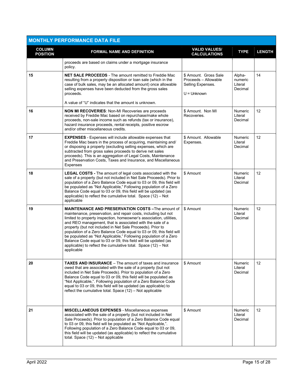|                                  | <b>MONTHLY PERFORMANCE DATA FILE</b>                                                                                                                                                                                                                                                                                                                                                                                                                                                                                                                                                                                     |                                                                                     |                                         |                 |
|----------------------------------|--------------------------------------------------------------------------------------------------------------------------------------------------------------------------------------------------------------------------------------------------------------------------------------------------------------------------------------------------------------------------------------------------------------------------------------------------------------------------------------------------------------------------------------------------------------------------------------------------------------------------|-------------------------------------------------------------------------------------|-----------------------------------------|-----------------|
| <b>COLUMN</b><br><b>POSITION</b> | <b>FORMAL NAME AND DEFINITION</b>                                                                                                                                                                                                                                                                                                                                                                                                                                                                                                                                                                                        | <b>VALID VALUES/</b><br><b>CALCULATIONS</b>                                         | <b>TYPE</b>                             | <b>LENGTH</b>   |
|                                  | proceeds are based on claims under a mortgage insurance<br>policy.                                                                                                                                                                                                                                                                                                                                                                                                                                                                                                                                                       |                                                                                     |                                         |                 |
| 15                               | <b>NET SALE PROCEEDS</b> - The amount remitted to Freddie Mac<br>resulting from a property disposition or loan sale (which in the<br>case of bulk sales, may be an allocated amount) once allowable<br>selling expenses have been deducted from the gross sales<br>proceeds.<br>A value of "U" indicates that the amount is unknown.                                                                                                                                                                                                                                                                                     | \$ Amount. Gross Sale<br>Proceeds - Allowable<br>Selling Expenses.<br>$U =$ Unknown | Alpha-<br>numeric<br>Literal<br>Decimal | 14              |
| 16                               | <b>NON MI RECOVERIES: Non-MI Recoveries are proceeds</b><br>received by Freddie Mac based on repurchase/make whole<br>proceeds, non-sale income such as refunds (tax or insurance),<br>hazard insurance proceeds, rental receipts, positive escrow<br>and/or other miscellaneous credits.                                                                                                                                                                                                                                                                                                                                | \$ Amount. Non MI<br>Recoveries.                                                    | <b>Numeric</b><br>Literal<br>Decimal    | 12 <sup>2</sup> |
| 17                               | <b>EXPENSES</b> - Expenses will include allowable expenses that<br>Freddie Mac bears in the process of acquiring, maintaining and/<br>or disposing a property (excluding selling expenses, which are<br>subtracted from gross sales proceeds to derive net sales<br>proceeds). This is an aggregation of Legal Costs, Maintenance<br>and Preservation Costs, Taxes and Insurance, and Miscellaneous<br>Expenses                                                                                                                                                                                                          | \$ Amount. Allowable<br>Expenses.                                                   | <b>Numeric</b><br>Literal<br>Decimal    | 12              |
| 18                               | LEGAL COSTS - The amount of legal costs associated with the<br>sale of a property (but not included in Net Sale Proceeds). Prior to<br>population of a Zero Balance Code equal to 03 or 09, this field will<br>be populated as "Not Applicable," Following population of a Zero<br>Balance Code equal to 03 or 09, this field will be updated (as<br>applicable) to reflect the cumulative total. Space (12) - Not<br>applicable                                                                                                                                                                                         | \$ Amount                                                                           | <b>Numeric</b><br>Literal<br>Decimal    | 12              |
| 19                               | <b>MAINTENANCE AND PRESERVATION COSTS-The amount of</b><br>maintenance, preservation, and repair costs, including but not<br>limited to property inspection, homeowner's association, utilities,<br>and REO management, that is associated with the sale of a<br>property (but not included in Net Sale Proceeds). Prior to<br>population of a Zero Balance Code equal to 03 or 09, this field will<br>be populated as "Not Applicable," Following population of a Zero<br>Balance Code equal to 03 or 09, this field will be updated (as<br>applicable) to reflect the cumulative total. Space (12) - Not<br>applicable | \$ Amount                                                                           | <b>Numeric</b><br>Literal<br>Decimal    | 12              |
| 20                               | <b>TAXES AND INSURANCE</b> – The amount of taxes and insurance<br>owed that are associated with the sale of a property (but not<br>included in Net Sale Proceeds). Prior to population of a Zero<br>Balance Code equal to 03 or 09, this field will be populated as<br>"Not Applicable,". Following population of a Zero Balance Code<br>equal to 03 or 09, this field will be updated (as applicable) to<br>reflect the cumulative total. Space (12) - Not applicable                                                                                                                                                   | \$ Amount                                                                           | Numeric<br>Literal<br>Decimal           | 12              |
| 21                               | <b>MISCELLANEOUS EXPENSES - Miscellaneous expenses</b><br>associated with the sale of a property (but not included in Net<br>Sale Proceeds). Prior to population of a Zero Balance Code equal<br>to 03 or 09, this field will be populated as "Not Applicable,".<br>Following population of a Zero Balance Code equal to 03 or 09,<br>this field will be updated (as applicable) to reflect the cumulative<br>total. Space (12) - Not applicable                                                                                                                                                                         | \$ Amount                                                                           | Numeric<br>Literal<br>Decimal           | 12              |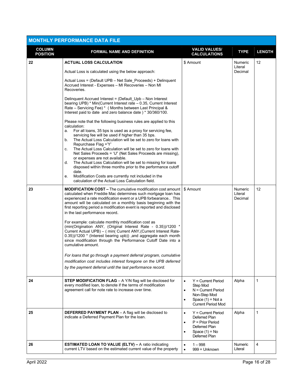| <b>MONTHLY PERFORMANCE DATA FILE</b> |                                                                                                                                                                                                                                                                                                                                                                                                                                                                                                                                                                                                                                                                                                                                                                                                                                                                                                                                                     |                                                                                                                                                              |                               |                 |  |  |  |  |  |  |
|--------------------------------------|-----------------------------------------------------------------------------------------------------------------------------------------------------------------------------------------------------------------------------------------------------------------------------------------------------------------------------------------------------------------------------------------------------------------------------------------------------------------------------------------------------------------------------------------------------------------------------------------------------------------------------------------------------------------------------------------------------------------------------------------------------------------------------------------------------------------------------------------------------------------------------------------------------------------------------------------------------|--------------------------------------------------------------------------------------------------------------------------------------------------------------|-------------------------------|-----------------|--|--|--|--|--|--|
| <b>COLUMN</b><br><b>POSITION</b>     | <b>FORMAL NAME AND DEFINITION</b>                                                                                                                                                                                                                                                                                                                                                                                                                                                                                                                                                                                                                                                                                                                                                                                                                                                                                                                   | <b>VALID VALUES/</b><br><b>CALCULATIONS</b>                                                                                                                  | <b>TYPE</b>                   | <b>LENGTH</b>   |  |  |  |  |  |  |
| 22                                   | <b>ACTUAL LOSS CALCULATION</b>                                                                                                                                                                                                                                                                                                                                                                                                                                                                                                                                                                                                                                                                                                                                                                                                                                                                                                                      | \$ Amount                                                                                                                                                    | Numeric<br>Literal            | 12              |  |  |  |  |  |  |
|                                      | Actual Loss is calculated using the below approach:                                                                                                                                                                                                                                                                                                                                                                                                                                                                                                                                                                                                                                                                                                                                                                                                                                                                                                 |                                                                                                                                                              | Decimal                       |                 |  |  |  |  |  |  |
|                                      | Actual Loss = (Default UPB – Net Sale Proceeds) + Delinguent<br>Accrued Interest - Expenses - MI Recoveries - Non MI<br>Recoveries.                                                                                                                                                                                                                                                                                                                                                                                                                                                                                                                                                                                                                                                                                                                                                                                                                 |                                                                                                                                                              |                               |                 |  |  |  |  |  |  |
|                                      | Delinquent Accrued Interest = (Default Upb – Non Interest<br>bearing UPB) * Min(Current Interest rate $-0.35$ , Current Interest<br>Rate - Servicing Fee) * ( Months between Last Principal &<br>Interest paid to date and zero balance date ) * 30/360/100.                                                                                                                                                                                                                                                                                                                                                                                                                                                                                                                                                                                                                                                                                        |                                                                                                                                                              |                               |                 |  |  |  |  |  |  |
|                                      | Please note that the following business rules are applied to this<br>calculation:<br>For all loans, 35 bps is used as a proxy for servicing fee,<br>a.<br>servicing fee will be used if higher than 35 bps.<br>The Actual Loss Calculation will be set to zero for loans with<br>b.<br>Repurchase Flag ='Y'<br>The Actual Loss Calculation will be set to zero for loans with<br>C.<br>Net Sales Proceeds = 'U" (Net Sales Proceeds are missing),<br>or expenses are not available.<br>The Actual Loss Calculation will be set to missing for loans<br>d.<br>disposed within three months prior to the performance cutoff<br>date.<br>Modification Costs are currently not included in the<br>e.<br>calculation of the Actual Loss Calculation field.                                                                                                                                                                                               |                                                                                                                                                              |                               |                 |  |  |  |  |  |  |
| 23                                   | <b>MODIFICATION COST –</b> The cumulative modification cost amount<br>calculated when Freddie Mac determines such mortgage loan has<br>experienced a rate modification event or a UPB forbearance This<br>amount will be calculated on a monthly basis beginning with the<br>first reporting period a modification event is reported and disclosed<br>in the last performance record.<br>For example: calculate monthly modification cost as<br>(min(Origination ANY, (Original Interest Rate - 0.35))/1200 *<br>Current Actual UPB) - ( min( Current ANY, (Current Interest Rate-<br>0.35))/1200 * (Interest bearing upb)) , and aggregate each month<br>since modification through the Performance Cutoff Date into a<br>cumulative amount.<br>For loans that go through a payment deferral program, cumulative<br>modification cost includes interest foregone on the UPB deferred<br>by the payment deferral until the last performance record. | \$ Amount                                                                                                                                                    | Numeric<br>Literal<br>Decimal | 12 <sup>2</sup> |  |  |  |  |  |  |
| 24                                   | STEP MODIFICATION FLAG - A Y/N flag will be disclosed for<br>every modified loan, to denote if the terms of modification<br>agreement call for note rate to increase over time.                                                                                                                                                                                                                                                                                                                                                                                                                                                                                                                                                                                                                                                                                                                                                                     | $Y =$ Current Period<br>$\bullet$<br>Step Mod<br>$N =$ Current Period<br>$\bullet$<br>Non-Step Mod<br>Space $(1)$ = Not a<br>$\bullet$<br>Current Period Mod | Alpha                         | $\mathbf{1}$    |  |  |  |  |  |  |
| 25                                   | <b>DEFERRED PAYMENT PLAN</b> - A flag will be disclosed to<br>indicate a Deferred Payment Plan for the loan.                                                                                                                                                                                                                                                                                                                                                                                                                                                                                                                                                                                                                                                                                                                                                                                                                                        | $Y =$ Current Period<br>$\bullet$<br>Deferred Plan<br>$P = Prior Period$<br>$\bullet$<br>Deferred Plan<br>Space $(1)$ = No<br>$\bullet$<br>Deferred Plan     | Alpha                         | 1               |  |  |  |  |  |  |
| 26                                   | <b>ESTIMATED LOAN TO VALUE (ELTV) - A ratio indicating</b><br>current LTV based on the estimated current value of the property                                                                                                                                                                                                                                                                                                                                                                                                                                                                                                                                                                                                                                                                                                                                                                                                                      | $1 - 998$<br>$\bullet$<br>999 = Unknown<br>$\bullet$                                                                                                         | <b>Numeric</b><br>Literal     | 4               |  |  |  |  |  |  |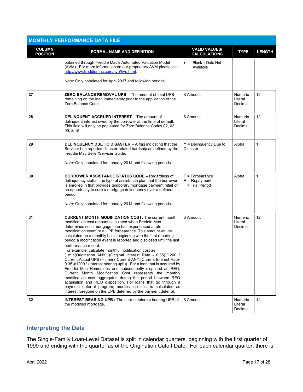|                                  | <b>MONTHLY PERFORMANCE DATA FILE</b>                                                                                                                                                                                                                                                                                                                                                                                                                                                                                                                                                                                                                                                                                                                                                                                                                                                                                                                                                                                                                                  |                                                            |                                      |               |
|----------------------------------|-----------------------------------------------------------------------------------------------------------------------------------------------------------------------------------------------------------------------------------------------------------------------------------------------------------------------------------------------------------------------------------------------------------------------------------------------------------------------------------------------------------------------------------------------------------------------------------------------------------------------------------------------------------------------------------------------------------------------------------------------------------------------------------------------------------------------------------------------------------------------------------------------------------------------------------------------------------------------------------------------------------------------------------------------------------------------|------------------------------------------------------------|--------------------------------------|---------------|
| <b>COLUMN</b><br><b>POSITION</b> | <b>FORMAL NAME AND DEFINITION</b>                                                                                                                                                                                                                                                                                                                                                                                                                                                                                                                                                                                                                                                                                                                                                                                                                                                                                                                                                                                                                                     | <b>VALID VALUES/</b><br><b>CALCULATIONS</b>                | <b>TYPE</b>                          | <b>LENGTH</b> |
|                                  | obtained through Freddie Mac's Automated Valuation Model<br>(AVM). For more information on our proprietary AVM please visit<br>http://www.freddiemac.com/hye/hye.html.                                                                                                                                                                                                                                                                                                                                                                                                                                                                                                                                                                                                                                                                                                                                                                                                                                                                                                | Blank = Data Not<br>$\bullet$<br>Available                 |                                      |               |
|                                  | Note: Only populated for April 2017 and following periods.                                                                                                                                                                                                                                                                                                                                                                                                                                                                                                                                                                                                                                                                                                                                                                                                                                                                                                                                                                                                            |                                                            |                                      |               |
| 27                               | <b>ZERO BALANCE REMOVAL UPB - The amount of total UPB</b><br>remaining on the loan immediately prior to the application of the<br>Zero Balance Code                                                                                                                                                                                                                                                                                                                                                                                                                                                                                                                                                                                                                                                                                                                                                                                                                                                                                                                   | \$ Amount                                                  | <b>Numeric</b><br>Literal<br>Decimal | 12            |
| 28                               | <b>DELINQUENT ACCRUED INTEREST</b> – The amount of<br>delinguent interest owed by the borrower at the time of default.<br>This field will only be populated for Zero Balance Codes 02, 03,<br>09, & 15.                                                                                                                                                                                                                                                                                                                                                                                                                                                                                                                                                                                                                                                                                                                                                                                                                                                               | \$ Amount                                                  | Numeric<br>Literal<br>Decimal        | 12            |
| 29                               | <b>DELINQUENCY DUE TO DISASTER</b> - A flag indicating that the<br>Servicer has reported disaster-related hardship as defined by the<br>Freddie Mac Seller/Servicer Guide.<br>Note: Only populated for January 2014 and following periods.                                                                                                                                                                                                                                                                                                                                                                                                                                                                                                                                                                                                                                                                                                                                                                                                                            | $Y =$ Delinguency Due to<br><b>Disaster</b>                | Alpha                                | 1             |
|                                  |                                                                                                                                                                                                                                                                                                                                                                                                                                                                                                                                                                                                                                                                                                                                                                                                                                                                                                                                                                                                                                                                       |                                                            |                                      |               |
| 30                               | <b>BORROWER ASSISTANCE STATUS CODE - Regardless of</b><br>delinquency status, the type of assistance plan that the borrower<br>is enrolled in that provides temporary mortgage payment relief or<br>an opportunity to cure a mortgage delinquency over a defined<br>period.<br>Note: Only populated for January 2014 and following periods.                                                                                                                                                                                                                                                                                                                                                                                                                                                                                                                                                                                                                                                                                                                           | $F =$ Forbearance<br>$R = Repayment$<br>$T =$ Trial Period | Alpha                                | $\mathbf{1}$  |
| 31                               | <b>CURRENT MONTH MODIFICATION COST:</b> The current month<br>modification cost amount calculated when Freddie Mac<br>determines such mortgage loan has experienced a rate<br>modification event or a UPB forbearance. This amount will be<br>calculated on a monthly basis beginning with the first reporting<br>period a modification event is reported and disclosed until the last<br>performance record.<br>For example: calculate monthly modification cost as<br>min(Origination ANY, (Original Interest Rate - 0.35))/1200 *<br>Current Actual UPB) – ( min( Current ANY,(Current Interest Rate-<br>0.35))/1200 * (Interest bearing upb)). For a loan that is acquired by<br>Freddie Mac Homesteps and subsequently disposed as REO,<br>Current Month Modification Cost represents the monthly<br>modification cost aggregated during the period between REO<br>acquisition and REO disposition. For loans that go through a<br>payment deferral program, modification cost is calculated as<br>interest foregone on the UPB deferred by the payment deferral. | \$ Amount                                                  | Numeric<br>Literal<br>Decimal        | 12            |
| 32                               | <b>INTEREST BEARING UPB:</b> The current interest bearing UPB of<br>the modified mortgage.                                                                                                                                                                                                                                                                                                                                                                                                                                                                                                                                                                                                                                                                                                                                                                                                                                                                                                                                                                            | \$ Amount                                                  | Numeric<br>Literal<br>Decimal        | 12            |

# Interpreting the Data

The Single-Family Loan-Level Dataset is split in calendar quarters, beginning with the first quarter of 1999 and ending with the quarter as of the Origination Cutoff Date. For each calendar quarter, there is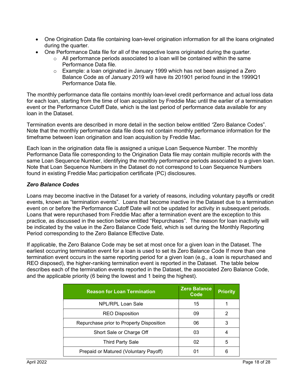- One Origination Data file containing loan-level origination information for all the loans originated during the quarter.
- One Performance Data file for all of the respective loans originated during the quarter.
	- $\circ$  All performance periods associated to a loan will be contained within the same Performance Data file.
	- o Example: a loan originated in January 1999 which has not been assigned a Zero Balance Code as of January 2019 will have its 201901 period found in the 1999Q1 Performance Data file.

The monthly performance data file contains monthly loan-level credit performance and actual loss data for each loan, starting from the time of loan acquisition by Freddie Mac until the earlier of a termination event or the Performance Cutoff Date, which is the last period of performance data available for any loan in the Dataset.

Termination events are described in more detail in the section below entitled "Zero Balance Codes". Note that the monthly performance data file does not contain monthly performance information for the timeframe between loan origination and loan acquisition by Freddie Mac.

Each loan in the origination data file is assigned a unique Loan Sequence Number. The monthly Performance Data file corresponding to the Origination Data file may contain multiple records with the same Loan Sequence Number, identifying the monthly performance periods associated to a given loan. Note that Loan Sequence Numbers in the Dataset do not correspond to Loan Sequence Numbers found in existing Freddie Mac participation certificate (PC) disclosures.

#### Zero Balance Codes

Loans may become inactive in the Dataset for a variety of reasons, including voluntary payoffs or credit events, known as "termination events". Loans that become inactive in the Dataset due to a termination event on or before the Performance Cutoff Date will not be updated for activity in subsequent periods. Loans that were repurchased from Freddie Mac after a termination event are the exception to this practice, as discussed in the section below entitled "Repurchases". The reason for loan inactivity will be indicated by the value in the Zero Balance Code field, which is set during the Monthly Reporting Period corresponding to the Zero Balance Effective Date.

If applicable, the Zero Balance Code may be set at most once for a given loan in the Dataset. The earliest occurring termination event for a loan is used to set its Zero Balance Code If more than one termination event occurs in the same reporting period for a given loan (e.g., a loan is repurchased and REO disposed), the higher-ranking termination event is reported in the Dataset. The table below describes each of the termination events reported in the Dataset, the associated Zero Balance Code, and the applicable priority (6 being the lowest and 1 being the highest).

| <b>Reason for Loan Termination</b>       | Zero Balance<br>Code | <b>Priority</b> |
|------------------------------------------|----------------------|-----------------|
| NPL/RPL Loan Sale                        | 15                   |                 |
| <b>REO Disposition</b>                   | 09                   |                 |
| Repurchase prior to Property Disposition | 06                   |                 |
| Short Sale or Charge Off                 | 03                   |                 |
| <b>Third Party Sale</b>                  | 02                   | 5               |
| Prepaid or Matured (Voluntary Payoff)    |                      |                 |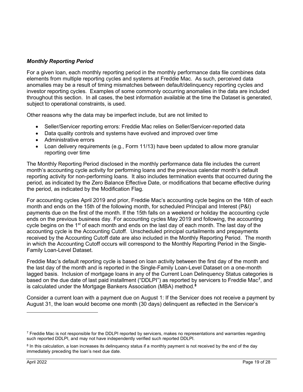# Monthly Reporting Period

For a given loan, each monthly reporting period in the monthly performance data file combines data elements from multiple reporting cycles and systems at Freddie Mac. As such, perceived data anomalies may be a result of timing mismatches between default/delinquency reporting cycles and investor reporting cycles. Examples of some commonly occurring anomalies in the data are included throughout this section. In all cases, the best information available at the time the Dataset is generated, subject to operational constraints, is used.

Other reasons why the data may be imperfect include, but are not limited to

- Seller/Servicer reporting errors: Freddie Mac relies on Seller/Servicer-reported data
- Data quality controls and systems have evolved and improved over time
- Administrative errors
- Loan delivery requirements (e.g., Form 11/13) have been updated to allow more granular reporting over time

The Monthly Reporting Period disclosed in the monthly performance data file includes the current month's accounting cycle activity for performing loans and the previous calendar month's default reporting activity for non-performing loans. It also includes termination events that occurred during the period, as indicated by the Zero Balance Effective Date, or modifications that became effective during the period, as indicated by the Modification Flag.

For accounting cycles April 2019 and prior, Freddie Mac's accounting cycle begins on the 16th of each month and ends on the 15th of the following month, for scheduled Principal and Interest (P&I) payments due on the first of the month. If the 15th falls on a weekend or holiday the accounting cycle ends on the previous business day. For accounting cycles May 2019 and following, the accounting cycle begins on the  $1<sup>st</sup>$  of each month and ends on the last day of each month. The last day of the accounting cycle is the Accounting Cutoff. Unscheduled principal curtailments and prepayments received by the Accounting Cutoff date are also included in the Monthly Reporting Period. The month in which the Accounting Cutoff occurs will correspond to the Monthly Reporting Period in the Single-Family Loan-Level Dataset.

Freddie Mac's default reporting cycle is based on loan activity between the first day of the month and the last day of the month and is reported in the Single-Family Loan-Level Dataset on a one-month lagged basis. Inclusion of mortgage loans in any of the Current Loan Delinquency Status categories is based on the due date of last paid installment ("DDLPI") as reported by servicers to Freddie Mac<sup>7</sup>, and is calculated under the Mortgage Bankers Association (MBA) method.<sup>8</sup>

Consider a current loan with a payment due on August 1: If the Servicer does not receive a payment by August 31, the loan would become one month (30 days) delinquent as reflected in the Servicer's

 $\rm ^7$  Freddie Mac is not responsible for the DDLPI reported by servicers, makes no representations and warranties regarding such reported DDLPI, and may not have independently verified such reported DDLPI.

<sup>&</sup>lt;sup>8</sup> In this calculation, a loan increases its delinquency status if a monthly payment is not received by the end of the day immediately preceding the loan's next due date.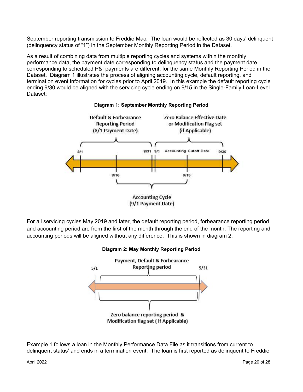September reporting transmission to Freddie Mac. The loan would be reflected as 30 days' delinquent (delinquency status of "1") in the September Monthly Reporting Period in the Dataset.

As a result of combining data from multiple reporting cycles and systems within the monthly performance data, the payment date corresponding to delinquency status and the payment date corresponding to scheduled P&I payments are different, for the same Monthly Reporting Period in the Dataset. Diagram 1 illustrates the process of aligning accounting cycle, default reporting, and termination event information for cycles prior to April 2019. In this example the default reporting cycle ending 9/30 would be aligned with the servicing cycle ending on 9/15 in the Single-Family Loan-Level Dataset:



#### Diagram 1: September Monthly Reporting Period

For all servicing cycles May 2019 and later, the default reporting period, forbearance reporting period and accounting period are from the first of the month through the end of the month. The reporting and accounting periods will be aligned without any difference. This is shown in diagram 2:



Diagram 2: May Monthly Reporting Period

Example 1 follows a loan in the Monthly Performance Data File as it transitions from current to delinquent status' and ends in a termination event. The loan is first reported as delinquent to Freddie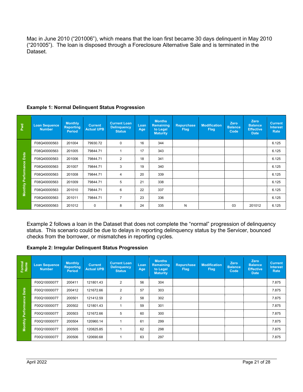Mac in June 2010 ("201006"), which means that the loan first became 30 days delinquent in May 2010 ("201005"). The loan is disposed through a Foreclosure Alternative Sale and is terminated in the Dataset.

| Pwd                                | <b>Loan Sequence</b><br><b>Number</b> | <b>Monthly</b><br><b>Reporting</b><br><b>Period</b> | <b>Current</b><br><b>Actual UPB</b> | <b>Current Loan</b><br><b>Delinquency</b><br><b>Status</b> | Loan<br>Age | <b>Months</b><br><b>Remaining</b><br>to Legal<br><b>Maturity</b> | <b>Repurchase</b><br><b>Flag</b> | <b>Modification</b><br><b>Flag</b> | <b>Zero</b><br><b>Balance</b><br>Code | <b>Zero</b><br><b>Balance</b><br><b>Effective</b><br><b>Date</b> | <b>Current</b><br><b>Interest</b><br>Rate |
|------------------------------------|---------------------------------------|-----------------------------------------------------|-------------------------------------|------------------------------------------------------------|-------------|------------------------------------------------------------------|----------------------------------|------------------------------------|---------------------------------------|------------------------------------------------------------------|-------------------------------------------|
|                                    | F08Q40000563                          | 201004                                              | 79930.72                            | $\mathbf 0$                                                | 16          | 344                                                              |                                  |                                    |                                       |                                                                  | 6.125                                     |
|                                    | F08Q40000563                          | 201005                                              | 79844.71                            |                                                            | 17          | 343                                                              |                                  |                                    |                                       |                                                                  | 6.125                                     |
| Data<br><b>Monthly Performance</b> | F08Q40000563                          | 201006                                              | 79844.71                            | 2                                                          | 18          | 341                                                              |                                  |                                    |                                       |                                                                  | 6.125                                     |
|                                    | F08Q40000563                          | 201007                                              | 79844.71                            | 3                                                          | 19          | 340                                                              |                                  |                                    |                                       |                                                                  | 6.125                                     |
|                                    | F08Q40000563                          | 201008                                              | 79844.71                            | 4                                                          | 20          | 339                                                              |                                  |                                    |                                       |                                                                  | 6.125                                     |
|                                    | F08Q40000563                          | 201009                                              | 79844.71                            | 5                                                          | 21          | 338                                                              |                                  |                                    |                                       |                                                                  | 6.125                                     |
|                                    | F08Q40000563                          | 201010                                              | 79844.71                            | 6                                                          | 22          | 337                                                              |                                  |                                    |                                       |                                                                  | 6.125                                     |
|                                    | F08Q40000563                          | 201011                                              | 79844.71                            | $\overline{7}$                                             | 23          | 336                                                              |                                  |                                    |                                       |                                                                  | 6.125                                     |
|                                    | F08Q40000563                          | 201012                                              | $\mathbf 0$                         | 8                                                          | 24          | 335                                                              | N                                |                                    | 03                                    | 201012                                                           | 6.125                                     |

# Example 1: Normal Delinquent Status Progression

Example 2 follows a loan in the Dataset that does not complete the "normal" progression of delinquency status. This scenario could be due to delays in reporting delinquency status by the Servicer, bounced checks from the borrower, or mismatches in reporting cycles.

#### Example 2: Irregular Delinquent Status Progression

| Formal<br>Name             | <b>Loan Sequence</b><br><b>Number</b> | <b>Monthly</b><br><b>Reporting</b><br><b>Period</b> | <b>Current</b><br><b>Actual UPB</b> | <b>Current Loan</b><br><b>Delinquency</b><br><b>Status</b> | Loan<br>Age | <b>Months</b><br><b>Remaining</b><br>to Legal<br><b>Maturity</b> | <b>Repurchase</b><br><b>Flag</b> | <b>Modification</b><br><b>Flag</b> | <b>Zero</b><br><b>Balance</b><br>Code | <b>Zero</b><br><b>Balance</b><br><b>Effective</b><br><b>Date</b> | <b>Current</b><br><b>Interest</b><br>Rate |
|----------------------------|---------------------------------------|-----------------------------------------------------|-------------------------------------|------------------------------------------------------------|-------------|------------------------------------------------------------------|----------------------------------|------------------------------------|---------------------------------------|------------------------------------------------------------------|-------------------------------------------|
|                            | F00Q10000077                          | 200411                                              | 121801.43                           | $\overline{2}$                                             | 56          | 304                                                              |                                  |                                    |                                       |                                                                  | 7.875                                     |
| Data                       | F00Q10000077                          | 200412                                              | 121672.66                           | $\overline{2}$                                             | 57          | 303                                                              |                                  |                                    |                                       |                                                                  | 7.875                                     |
|                            | F00Q10000077                          | 200501                                              | 121412.59                           | $\overline{2}$                                             | 58          | 302                                                              |                                  |                                    |                                       |                                                                  | 7.875                                     |
| <b>Monthly Performance</b> | F00Q10000077                          | 200502                                              | 121801.43                           |                                                            | 59          | 301                                                              |                                  |                                    |                                       |                                                                  | 7.875                                     |
|                            | F00Q10000077                          | 200503                                              | 121672.66                           | 5                                                          | 60          | 300                                                              |                                  |                                    |                                       |                                                                  | 7.875                                     |
|                            | F00Q10000077                          | 200504                                              | 120960.14                           |                                                            | 61          | 299                                                              |                                  |                                    |                                       |                                                                  | 7.875                                     |
|                            | F00Q10000077                          | 200505                                              | 120825.85                           |                                                            | 62          | 298                                                              |                                  |                                    |                                       |                                                                  | 7.875                                     |
|                            | F00Q10000077                          | 200506                                              | 120690.68                           |                                                            | 63          | 297                                                              |                                  |                                    |                                       |                                                                  | 7.875                                     |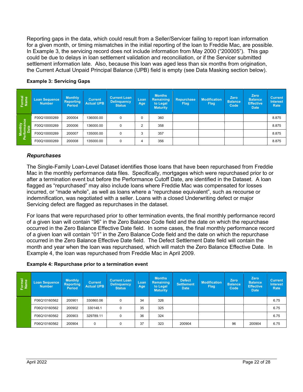Reporting gaps in the data, which could result from a Seller/Servicer failing to report loan information for a given month, or timing mismatches in the initial reporting of the loan to Freddie Mac, are possible. In Example 3, the servicing record does not include information from May 2000 ("200005"). This gap could be due to delays in loan settlement validation and reconciliation, or if the Servicer submitted settlement information late. Also, because this loan was aged less than six months from origination, the Current Actual Unpaid Principal Balance (UPB) field is empty (see Data Masking section below).

| Formal<br>Name                 | Loan Sequence<br><b>Number</b> | <b>Monthly</b><br><b>Reporting</b><br><b>Period</b> | <b>Current</b><br><b>Actual UPB</b> | <b>Current Loan</b><br><b>Delinguency</b><br><b>Status</b> | Loan<br>Age    | <b>Months</b><br>Remaining<br>to Legal<br><b>Maturity</b> | <b>Repurchase</b><br><b>Flag</b> | <b>Modification</b><br><b>Flag</b> | <b>Zero</b><br><b>Balance</b><br>Code | Zero<br><b>Balance</b><br><b>Effective</b><br><b>Date</b> | <b>Current</b><br><b>Interest</b><br>Rate |
|--------------------------------|--------------------------------|-----------------------------------------------------|-------------------------------------|------------------------------------------------------------|----------------|-----------------------------------------------------------|----------------------------------|------------------------------------|---------------------------------------|-----------------------------------------------------------|-------------------------------------------|
|                                | F00Q10000269                   | 200004                                              | 136000.00                           | 0                                                          | $\Omega$       | 360                                                       |                                  |                                    |                                       |                                                           | 8.875                                     |
| Monthly<br>Performance<br>Data | F00Q10000269                   | 200006                                              | 136000.00                           | $\Omega$                                                   | $\overline{2}$ | 358                                                       |                                  |                                    |                                       |                                                           | 8.875                                     |
|                                | F00Q10000269                   | 200007                                              | 135000.00                           | $\Omega$                                                   | 3              | 357                                                       |                                  |                                    |                                       |                                                           | 8.875                                     |
|                                | F00Q10000269                   | 200008                                              | 135000.00                           | 0                                                          | 4              | 356                                                       |                                  |                                    |                                       |                                                           | 8.875                                     |

#### Example 3: Servicing Gaps

#### Repurchases

The Single-Family Loan-Level Dataset identifies those loans that have been repurchased from Freddie Mac in the monthly performance data files. Specifically, mortgages which were repurchased prior to or after a termination event but before the Performance Cutoff Date, are identified in the Dataset. A loan flagged as "repurchased" may also include loans where Freddie Mac was compensated for losses incurred, or "made whole", as well as loans where a "repurchase equivalent", such as recourse or indemnification, was negotiated with a seller. Loans with a closed Underwriting defect or major Servicing defect are flagged as repurchases in the dataset.

For loans that were repurchased prior to other termination events, the final monthly performance record of a given loan will contain "96" in the Zero Balance Code field and the date on which the repurchase occurred in the Zero Balance Effective Date field. In some cases, the final monthly performance record of a given loan will contain "01" in the Zero Balance Code field and the date on which the repurchase occurred in the Zero Balance Effective Date field. The Defect Settlement Date field will contain the month and year when the loan was repurchased, which will match the Zero Balance Effective Date. In Example 4, the loan was repurchased from Freddie Mac in April 2009.

#### Example 4: Repurchase prior to a termination event

| Formal<br>Name | Loan Sequence<br><b>Number</b> | <b>Monthly</b><br><b>Reporting</b><br><b>Period</b> | <b>Current</b><br><b>Actual UPB</b> | <b>Current Loan</b><br><b>Delinguency</b><br><b>Status</b> | Loan<br>Age | <b>Months</b><br><b>Remaining</b><br>to Legal<br><b>Maturity</b> | <b>Defect</b><br><b>Settlement</b><br><b>Date</b> | <b>Modification</b><br><b>Flag</b> | Zero<br><b>Balance</b><br>Code | Zero<br><b>Balance</b><br><b>Effective</b><br><b>Date</b> | <b>Current</b><br><b>Interest</b><br>Rate |
|----------------|--------------------------------|-----------------------------------------------------|-------------------------------------|------------------------------------------------------------|-------------|------------------------------------------------------------------|---------------------------------------------------|------------------------------------|--------------------------------|-----------------------------------------------------------|-------------------------------------------|
|                | F06Q10160562                   | 200901                                              | 330860.06                           | 0                                                          | 34          | 326                                                              |                                                   |                                    |                                |                                                           | 6.75                                      |
|                | F06Q10160562                   | 200902                                              | 330148.1                            | 0                                                          | 35          | 325                                                              |                                                   |                                    |                                |                                                           | 6.75                                      |
|                | F06Q10160562                   | 200903                                              | 329789.11                           | 0                                                          | 36          | 324                                                              |                                                   |                                    |                                |                                                           | 6.75                                      |
|                | F06Q10160562                   | 200904                                              | 0                                   | 0                                                          | 37          | 323                                                              | 200904                                            |                                    | 96                             | 200904                                                    | 6.75                                      |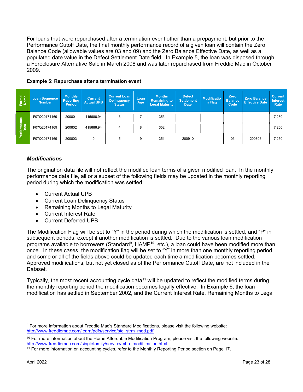For loans that were repurchased after a termination event other than a prepayment, but prior to the Performance Cutoff Date, the final monthly performance record of a given loan will contain the Zero Balance Code (allowable values are 03 and 09) and the Zero Balance Effective Date, as well as a populated date value in the Defect Settlement Date field. In Example 5, the loan was disposed through a Foreclosure Alternative Sale in March 2008 and was later repurchased from Freddie Mac in October 2009.

| Formal<br>Name      | Loan Sequence<br><b>Number</b> | <b>Monthly</b><br><b>Reporting</b><br>Period | <b>Current</b><br><b>Actual UPB</b> | <b>Current Loan</b><br><b>Delinquency</b><br><b>Status</b> | Loan<br>Age | <b>Months</b><br><b>Remaining to</b><br><b>Legal Maturity</b> | <b>Defect</b><br><b>Settlement</b><br><b>Date</b> | <b>Modificatio</b><br>n Flag | Zero<br><b>Balance</b><br>Code | <b>Zero Balance</b><br><b>Effective Date</b> | <b>Current</b><br><b>Interest</b><br>Rate |
|---------------------|--------------------------------|----------------------------------------------|-------------------------------------|------------------------------------------------------------|-------------|---------------------------------------------------------------|---------------------------------------------------|------------------------------|--------------------------------|----------------------------------------------|-------------------------------------------|
|                     | F07Q20174169                   | 200801                                       | 415686.94                           | 3                                                          |             | 353                                                           |                                                   |                              |                                |                                              | 7.250                                     |
| Performance<br>Data | F07Q20174169                   | 200802                                       | 415686.94                           | 4                                                          | 8           | 352                                                           |                                                   |                              |                                |                                              | 7.250                                     |
|                     | F07Q20174169                   | 200803                                       | 0                                   | 5                                                          | 9           | 351                                                           | 200910                                            |                              | 03                             | 200803                                       | 7.250                                     |

#### Example 5: Repurchase after a termination event

#### Modifications

The origination data file will not reflect the modified loan terms of a given modified loan. In the monthly performance data file, all or a subset of the following fields may be updated in the monthly reporting period during which the modification was settled:

- Current Actual UPB
- Current Loan Delinguency Status
- Remaining Months to Legal Maturity
- Current Interest Rate
- Current Deferred UPB

The Modification Flag will be set to "Y" in the period during which the modification is settled, and "P" in subsequent periods, except if another modification is settled. Due to the various loan modification programs available to borrowers (Standard<sup>9</sup>, HAMP<sup>10</sup>, etc.), a loan could have been modified more than once. In these cases, the modification flag will be set to "Y" in more than one monthly reporting period, and some or all of the fields above could be updated each time a modification becomes settled. Approved modifications, but not yet closed as of the Performance Cutoff Date, are not included in the Dataset.

Typically, the most recent accounting cycle data<sup>11</sup> will be updated to reflect the modified terms during the monthly reporting period the modification becomes legally effective. In Example 6, the loan modification has settled in September 2002, and the Current Interest Rate, Remaining Months to Legal

<sup>9</sup> For more information about Freddie Mac's Standard Modifications, please visit the following website: http://www.freddiemac.com/learn/pdfs/service/std\_strm\_mod.pdf

 $10$  For more information about the Home Affordable Modification Program, please visit the following website: http://www.freddiemac.com/singlefamily/service/mha\_modifi cation.html

<sup>&</sup>lt;sup>11</sup> For more information on accounting cycles, refer to the Monthly Reporting Period section on Page 17.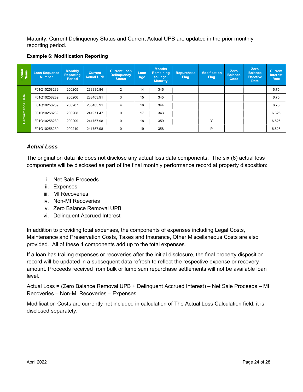Maturity, Current Delinquency Status and Current Actual UPB are updated in the prior monthly reporting period.

#### Example 6: Modification Reporting

| Formal<br>Name | Loan Sequence<br><b>Number</b> | <b>Monthly</b><br><b>Reporting</b><br>Period | <b>Current</b><br><b>Actual UPB</b> | <b>Current Loan</b><br><b>Delinquency</b><br><b>Status</b> | Loan<br>Age | <b>Months</b><br><b>Remaining</b><br>to Legal<br><b>Maturity</b> | <b>Repurchase</b><br><b>Flag</b> | <b>Modification</b><br><b>Flag</b> | Zero<br><b>Balance</b><br>Code | <b>Zero</b><br><b>Balance</b><br><b>Effective</b><br><b>Date</b> | <b>Current</b><br><b>Interest</b><br>Rate |
|----------------|--------------------------------|----------------------------------------------|-------------------------------------|------------------------------------------------------------|-------------|------------------------------------------------------------------|----------------------------------|------------------------------------|--------------------------------|------------------------------------------------------------------|-------------------------------------------|
|                | F01Q10258239                   | 200205                                       | 233835.84                           | 2                                                          | 14          | 346                                                              |                                  |                                    |                                |                                                                  | 6.75                                      |
| Data           | F01Q10258239                   | 200206                                       | 233403.91                           | 3                                                          | 15          | 345                                                              |                                  |                                    |                                |                                                                  | 6.75                                      |
|                | F01Q10258239                   | 200207                                       | 233403.91                           | 4                                                          | 16          | 344                                                              |                                  |                                    |                                |                                                                  | 6.75                                      |
|                | F01Q10258239                   | 200208                                       | 241971.47                           | $\Omega$                                                   | 17          | 343                                                              |                                  |                                    |                                |                                                                  | 6.625                                     |
| Performance    | F01Q10258239                   | 200209                                       | 241757.98                           | $\mathbf 0$                                                | 18          | 359                                                              |                                  | $\checkmark$                       |                                |                                                                  | 6.625                                     |
|                | F01Q10258239                   | 200210                                       | 241757.98                           | $\mathbf 0$                                                | 19          | 358                                                              |                                  | P                                  |                                |                                                                  | 6.625                                     |

# Actual Loss

The origination data file does not disclose any actual loss data components. The six (6) actual loss components will be disclosed as part of the final monthly performance record at property disposition:

- i. Net Sale Proceeds
- ii. Expenses
- iii. MI Recoveries
- iv. Non-MI Recoveries
- v. Zero Balance Removal UPB
- vi. Delinquent Accrued Interest

In addition to providing total expenses, the components of expenses including Legal Costs, Maintenance and Preservation Costs, Taxes and Insurance, Other Miscellaneous Costs are also provided. All of these 4 components add up to the total expenses.

If a loan has trailing expenses or recoveries after the initial disclosure, the final property disposition record will be updated in a subsequent data refresh to reflect the respective expense or recovery amount. Proceeds received from bulk or lump sum repurchase settlements will not be available loan level.

Actual Loss = (Zero Balance Removal UPB + Delinquent Accrued Interest) – Net Sale Proceeds – MI Recoveries – Non-MI Recoveries – Expenses

Modification Costs are currently not included in calculation of The Actual Loss Calculation field, it is disclosed separately.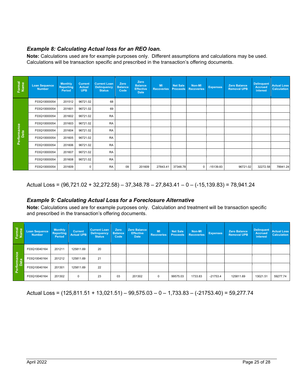# Example 8: Calculating Actual loss for an REO loan.

Note: Calculations used are for example purposes only. Different assumptions and calculations may be used. Calculations will be transaction specific and prescribed in the transaction's offering documents.

| Formal<br>Name      | <b>Loan Sequence</b><br><b>Number</b> | <b>Monthly</b><br><b>Reporting</b><br>Period | <b>Current</b><br><b>Actual</b><br><b>UPB</b> | <b>Current Loan</b><br><b>Delinquency</b><br><b>Status</b> | Zero<br><b>Balance</b><br>Code | Zero<br><b>Balance</b><br><b>Effective</b><br><b>Date</b> | <b>MI</b><br><b>Recoveries</b> | <b>Net Sale</b><br><b>Proceeds</b> | Non-MI<br><b>Recoveries</b> | <b>Expenses</b> | <b>Zero Balance</b><br><b>Removal UPB</b> | <b>Delinquent</b><br><b>Accrued</b><br>interest | <b>Actual Loss</b><br><b>Calculation</b> |
|---------------------|---------------------------------------|----------------------------------------------|-----------------------------------------------|------------------------------------------------------------|--------------------------------|-----------------------------------------------------------|--------------------------------|------------------------------------|-----------------------------|-----------------|-------------------------------------------|-------------------------------------------------|------------------------------------------|
|                     | F03Q10000054                          | 201512                                       | 96721.02                                      | 68                                                         |                                |                                                           |                                |                                    |                             |                 |                                           |                                                 |                                          |
|                     | F03Q10000054                          | 201601                                       | 96721.02                                      | 69                                                         |                                |                                                           |                                |                                    |                             |                 |                                           |                                                 |                                          |
|                     | F03Q10000054                          | 201602                                       | 96721.02                                      | <b>RA</b>                                                  |                                |                                                           |                                |                                    |                             |                 |                                           |                                                 |                                          |
|                     | F03Q10000054                          | 201603                                       | 96721.02                                      | <b>RA</b>                                                  |                                |                                                           |                                |                                    |                             |                 |                                           |                                                 |                                          |
| Performance<br>Data | F03Q10000054                          | 201604                                       | 96721.02                                      | <b>RA</b>                                                  |                                |                                                           |                                |                                    |                             |                 |                                           |                                                 |                                          |
|                     | F03Q10000054                          | 201605                                       | 96721.02                                      | <b>RA</b>                                                  |                                |                                                           |                                |                                    |                             |                 |                                           |                                                 |                                          |
|                     | F03Q10000054                          | 201606                                       | 96721.02                                      | <b>RA</b>                                                  |                                |                                                           |                                |                                    |                             |                 |                                           |                                                 |                                          |
|                     | F03Q10000054                          | 201607                                       | 96721.02                                      | <b>RA</b>                                                  |                                |                                                           |                                |                                    |                             |                 |                                           |                                                 |                                          |
|                     | F03Q10000054                          | 201608                                       | 96721.02                                      | <b>RA</b>                                                  |                                |                                                           |                                |                                    |                             |                 |                                           |                                                 |                                          |
|                     | F03Q10000054                          | 201609                                       | 0                                             | <b>RA</b>                                                  | 09                             | 201609                                                    | 27843.41                       | 37348.78                           | $\mathbf 0$                 | $-15139.83$     | 96721.02                                  | 32272.58                                        | 78941.24                                 |

Actual Loss = (96,721.02 + 32,272.58) – 37,348.78 – 27,843.41 – 0 – (-15,139.83) = 78,941.24

# Example 9: Calculating Actual Loss for a Foreclosure Alternative

Note: Calculations used are for example purposes only. Calculation and treatment will be transaction specific and prescribed in the transaction's offering documents.

| Formal<br>Name      | <b>Loan Sequence</b><br><b>Number</b> | <b>Monthly</b><br><b>Reporting</b><br>Period | <b>Current</b><br><b>Actual UPB</b> | <b>Current Loan</b><br><b>Delinquency</b><br><b>Status</b> | Zero<br><b>Balance</b><br>Code | <b>Zero Balance</b><br><b>Effective</b><br><b>Date</b> | <b>MI</b><br><b>Recoveries</b> | <b>Net Sale</b><br><b>Proceeds</b> | Non-MI<br><b>Recoveries</b> | <b>Expenses</b> | <b>Zero Balance</b><br><b>Removal UPB</b> | <b>Delinquent</b><br><b>Accrued</b><br>interest | <b>Actual Loss</b><br><b>Calculation</b> |
|---------------------|---------------------------------------|----------------------------------------------|-------------------------------------|------------------------------------------------------------|--------------------------------|--------------------------------------------------------|--------------------------------|------------------------------------|-----------------------------|-----------------|-------------------------------------------|-------------------------------------------------|------------------------------------------|
|                     | F03Q10040164                          | 201211                                       | 125811.69                           | 20                                                         |                                |                                                        |                                |                                    |                             |                 |                                           |                                                 |                                          |
|                     | F03Q10040164                          | 201212                                       | 125811.69                           | 21                                                         |                                |                                                        |                                |                                    |                             |                 |                                           |                                                 |                                          |
| Performance<br>Data | F03Q10040164                          | 201301                                       | 125811.69                           | 22                                                         |                                |                                                        |                                |                                    |                             |                 |                                           |                                                 |                                          |
|                     | F03Q10040164                          | 201302                                       | $\mathbf 0$                         | 23                                                         | 03                             | 201302                                                 | $\Omega$                       | 99575.03                           | 1733.83                     | $-21753.4$      | 125811.69                                 | 13021.51                                        | 59277.74                                 |

Actual Loss = (125,811.51 + 13,021.51) – 99,575.03 – 0 – 1,733.83 – (-21753.40) = 59,277.74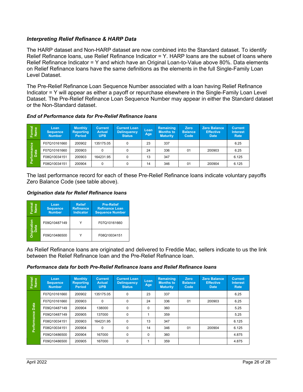# Interpreting Relief Refinance & HARP Data

The HARP dataset and Non-HARP dataset are now combined into the Standard dataset. To identify Relief Refinance loans, use Relief Refinance Indicator = Y. HARP loans are the subset of loans where Relief Refinance Indicator = Y and which have an Original Loan-to-Value above 80%. Data elements on Relief Refinance loans have the same definitions as the elements in the full Single-Family Loan Level Dataset.

The Pre-Relief Refinance Loan Sequence Number associated with a loan having Relief Refinance Indicator = Y will appear as either a payoff or repurchase elsewhere in the Single-Family Loan Level Dataset. The Pre-Relief Refinance Loan Sequence Number may appear in either the Standard dataset or the Non-Standard dataset.

#### End of Performance data for Pre-Relief Refinance loans

| Formal<br>Name      | Loan<br><b>Sequence</b><br><b>Number</b> | <b>Monthly</b><br><b>Reporting</b><br><b>Period</b> | <b>Current</b><br><b>Actual</b><br>UPB | <b>Current Loan</b><br><b>Delinquency</b><br><b>Status</b> | Loan<br>Age | Remaining<br><b>Months to</b><br><b>Maturity</b> | Zero<br><b>Balance</b><br>Code | <b>Zero Balance</b><br><b>Effective</b><br><b>Date</b> | <b>Current</b><br><b>Interest</b><br>Rate |
|---------------------|------------------------------------------|-----------------------------------------------------|----------------------------------------|------------------------------------------------------------|-------------|--------------------------------------------------|--------------------------------|--------------------------------------------------------|-------------------------------------------|
|                     | F07Q10161660                             | 200902                                              | 135175.05                              | 0                                                          | 23          | 337                                              |                                |                                                        | 6.25                                      |
| Performance<br>Data | F07Q10161660                             | 200903                                              |                                        |                                                            | 24          | 336                                              | 01                             | 200903                                                 | 6.25                                      |
|                     | F08Q10034151                             | 200903                                              | 164231.95                              | 0                                                          | 13          | 347                                              |                                |                                                        | 6.125                                     |
|                     | F08Q10034151                             | 200904                                              |                                        | 0                                                          | 14          | 346                                              | 01                             | 200904                                                 | 6.125                                     |

The last performance record for each of these Pre-Relief Refinance loans indicate voluntary payoffs Zero Balance Code (see table above).

#### Origination data for Relief Refinance loans

| Φ<br>-orm<br>Nam       | Loan<br><b>Sequence</b><br><b>Number</b> | <b>Relief</b><br><b>Refinance</b><br><b>Indicator</b> | <b>Pre-Relief</b><br><b>Refinance Loan</b><br><b>Sequence Number</b> |  |  |
|------------------------|------------------------------------------|-------------------------------------------------------|----------------------------------------------------------------------|--|--|
| nation                 | F09Q10487149                             |                                                       | F07Q10161660                                                         |  |  |
| ۆ <del>ت</del> ۈ<br>ئە | F09Q10486500                             |                                                       | F08Q10034151                                                         |  |  |

As Relief Refinance loans are originated and delivered to Freddie Mac, sellers indicate to us the link between the Relief Refinance loan and the Pre-Relief Refinance loan.

#### Performance data for both Pre-Relief Refinance loans and Relief Refinance loans

| Formal<br>Name      | Loan<br><b>Sequence</b><br><b>Number</b> | <b>Monthly</b><br><b>Reporting</b><br><b>Period</b> | <b>Current</b><br><b>Actual</b><br><b>UPB</b> | <b>Current Loan</b><br><b>Delinquency</b><br>Status | Loan<br>Age | Remaining<br><b>Months to</b><br><b>Maturity</b> | <b>Zero</b><br><b>Balance</b><br>Code | <b>Zero Balance</b><br><b>Effective</b><br><b>Date</b> | <b>Current</b><br><b>Interest</b><br>Rate |
|---------------------|------------------------------------------|-----------------------------------------------------|-----------------------------------------------|-----------------------------------------------------|-------------|--------------------------------------------------|---------------------------------------|--------------------------------------------------------|-------------------------------------------|
| Data<br>Performance | F07Q10161660                             | 200902                                              | 135175.05                                     | 0                                                   | 23          | 337                                              |                                       |                                                        | 6.25                                      |
|                     | F07Q10161660                             | 200903                                              | $\Omega$                                      | 0                                                   | 24          | 336                                              | 01                                    | 200903                                                 | 6.25                                      |
|                     | F09Q10487149                             | 200904                                              | 138000                                        | 0                                                   | $\Omega$    | 360                                              |                                       |                                                        | 5.25                                      |
|                     | F09Q10487149                             | 200905                                              | 137000                                        | 0                                                   |             | 359                                              |                                       |                                                        | 5.25                                      |
|                     | F08Q10034151                             | 200903                                              | 164231.95                                     | 0                                                   | 13          | 347                                              |                                       |                                                        | 6.125                                     |
|                     | F08Q10034151                             | 200904                                              | $\Omega$                                      | $\Omega$                                            | 14          | 346                                              | 01                                    | 200904                                                 | 6.125                                     |
|                     | F09Q10486500                             | 200904                                              | 167000                                        | $\Omega$                                            | $\Omega$    | 360                                              |                                       |                                                        | 4.875                                     |
|                     | F09Q10486500                             | 200905                                              | 167000                                        | 0                                                   |             | 359                                              |                                       |                                                        | 4.875                                     |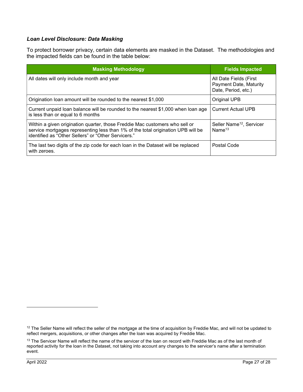#### Loan Level Disclosure: Data Masking

To protect borrower privacy, certain data elements are masked in the Dataset. The methodologies and the impacted fields can be found in the table below:

| <b>Masking Methodology</b>                                                                                                                                                                                             | <b>Fields Impacted</b>                                                         |  |
|------------------------------------------------------------------------------------------------------------------------------------------------------------------------------------------------------------------------|--------------------------------------------------------------------------------|--|
| All dates will only include month and year                                                                                                                                                                             | All Date Fields (First<br><b>Payment Date, Maturity</b><br>Date, Period, etc.) |  |
| Origination loan amount will be rounded to the nearest \$1,000                                                                                                                                                         | Original UPB                                                                   |  |
| Current unpaid loan balance will be rounded to the nearest \$1,000 when loan age<br>is less than or equal to 6 months                                                                                                  | <b>Current Actual UPB</b>                                                      |  |
| Within a given origination quarter, those Freddie Mac customers who sell or<br>service mortgages representing less than 1% of the total origination UPB will be<br>identified as "Other Sellers" or "Other Servicers." | Seller Name <sup>12</sup> , Servicer<br>Name $13$                              |  |
| The last two digits of the zip code for each loan in the Dataset will be replaced<br>with zeroes.                                                                                                                      | Postal Code                                                                    |  |

<sup>&</sup>lt;sup>12</sup> The Seller Name will reflect the seller of the mortgage at the time of acquisition by Freddie Mac, and will not be updated to reflect mergers, acquisitions, or other changes after the loan was acquired by Freddie Mac.

<sup>&</sup>lt;sup>13</sup> The Servicer Name will reflect the name of the servicer of the loan on record with Freddie Mac as of the last month of reported activity for the loan in the Dataset, not taking into account any changes to the servicer's name after a termination event.